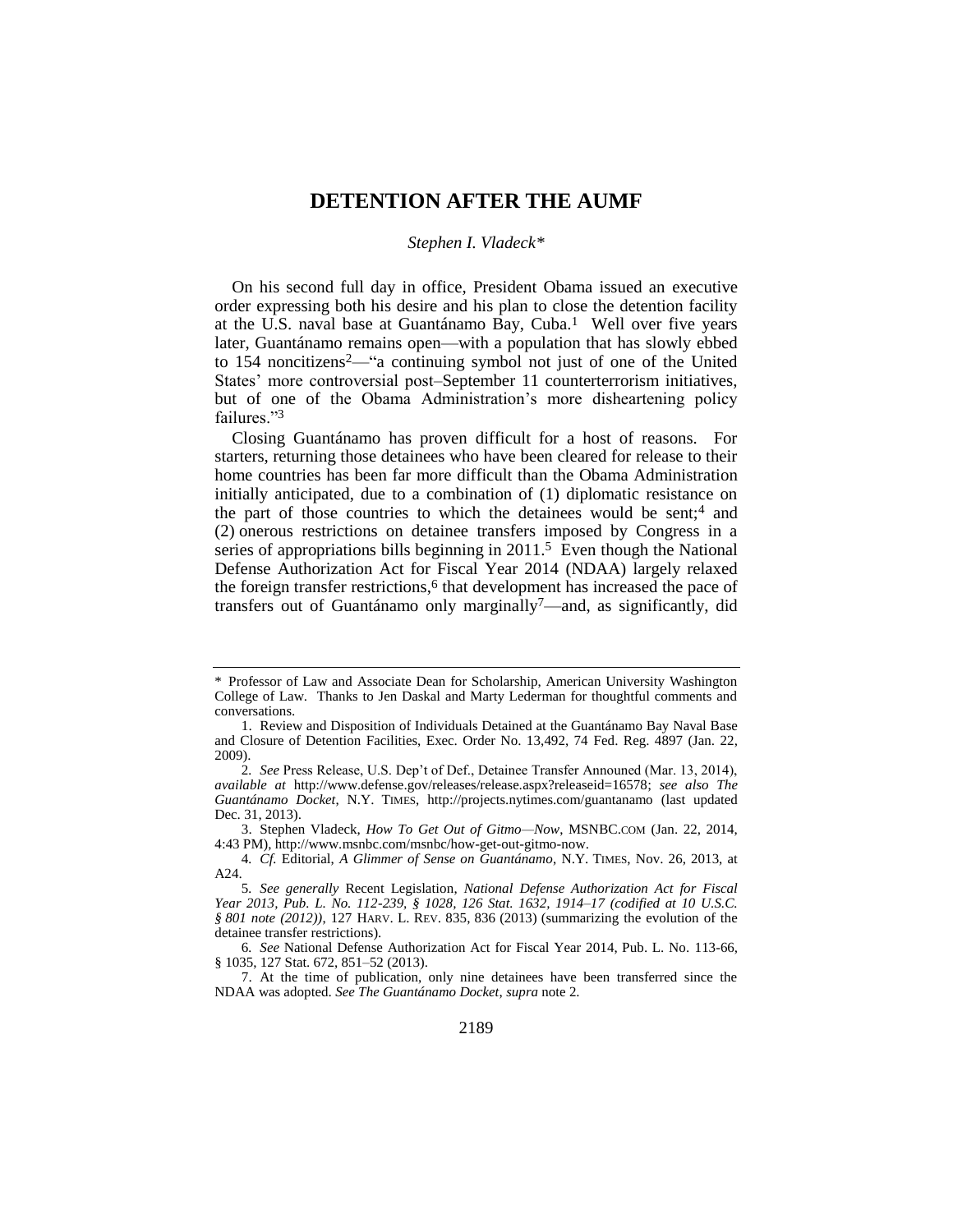# **DETENTION AFTER THE AUMF**

### <span id="page-0-0"></span>*Stephen I. Vladeck\**

On his second full day in office, President Obama issued an executive order expressing both his desire and his plan to close the detention facility at the U.S. naval base at Guantánamo Bay, Cuba.1 Well over five years later, Guantánamo remains open—with a population that has slowly ebbed to 154 noncitizens2—"a continuing symbol not just of one of the United States' more controversial post–September 11 counterterrorism initiatives, but of one of the Obama Administration's more disheartening policy failures."<sup>3</sup>

Closing Guantánamo has proven difficult for a host of reasons. For starters, returning those detainees who have been cleared for release to their home countries has been far more difficult than the Obama Administration initially anticipated, due to a combination of (1) diplomatic resistance on the part of those countries to which the detainees would be sent;<sup>4</sup> and (2) onerous restrictions on detainee transfers imposed by Congress in a series of appropriations bills beginning in  $2011<sup>5</sup>$  Even though the National Defense Authorization Act for Fiscal Year 2014 (NDAA) largely relaxed the foreign transfer restrictions, $6$  that development has increased the pace of transfers out of Guantánamo only marginally7—and, as significantly, did

<sup>\*</sup> Professor of Law and Associate Dean for Scholarship, American University Washington College of Law. Thanks to Jen Daskal and Marty Lederman for thoughtful comments and conversations.

<sup>1.</sup> Review and Disposition of Individuals Detained at the Guantánamo Bay Naval Base and Closure of Detention Facilities, Exec. Order No. 13,492, 74 Fed. Reg. 4897 (Jan. 22, 2009).

<sup>2</sup>*. See* Press Release, U.S. Dep't of Def., Detainee Transfer Announed (Mar. 13, 2014), *available at* http://www.defense.gov/releases/release.aspx?releaseid=16578; *see also The Guantánamo Docket*, N.Y. TIMES, http://projects.nytimes.com/guantanamo (last updated Dec. 31, 2013).

<sup>3.</sup> Stephen Vladeck, *How To Get Out of Gitmo—Now*, MSNBC.COM (Jan. 22, 2014, 4:43 PM), http://www.msnbc.com/msnbc/how-get-out-gitmo-now.

<sup>4</sup>*. Cf.* Editorial, *A Glimmer of Sense on Guantánamo*, N.Y. TIMES, Nov. 26, 2013, at A24.

<sup>5</sup>*. See generally* Recent Legislation, *National Defense Authorization Act for Fiscal Year 2013, Pub. L. No. 112-239, § 1028, 126 Stat. 1632, 1914–17 (codified at 10 U.S.C. § 801 note (2012))*, 127 HARV. L. REV. 835, 836 (2013) (summarizing the evolution of the detainee transfer restrictions).

<sup>6</sup>*. See* National Defense Authorization Act for Fiscal Year 2014, Pub. L. No. 113-66, § 1035, 127 Stat. 672, 851-52 (2013).

<sup>7.</sup> At the time of publication, only nine detainees have been transferred since the NDAA was adopted. *See The Guantánamo Docket*, *supra* not[e 2.](#page-0-0)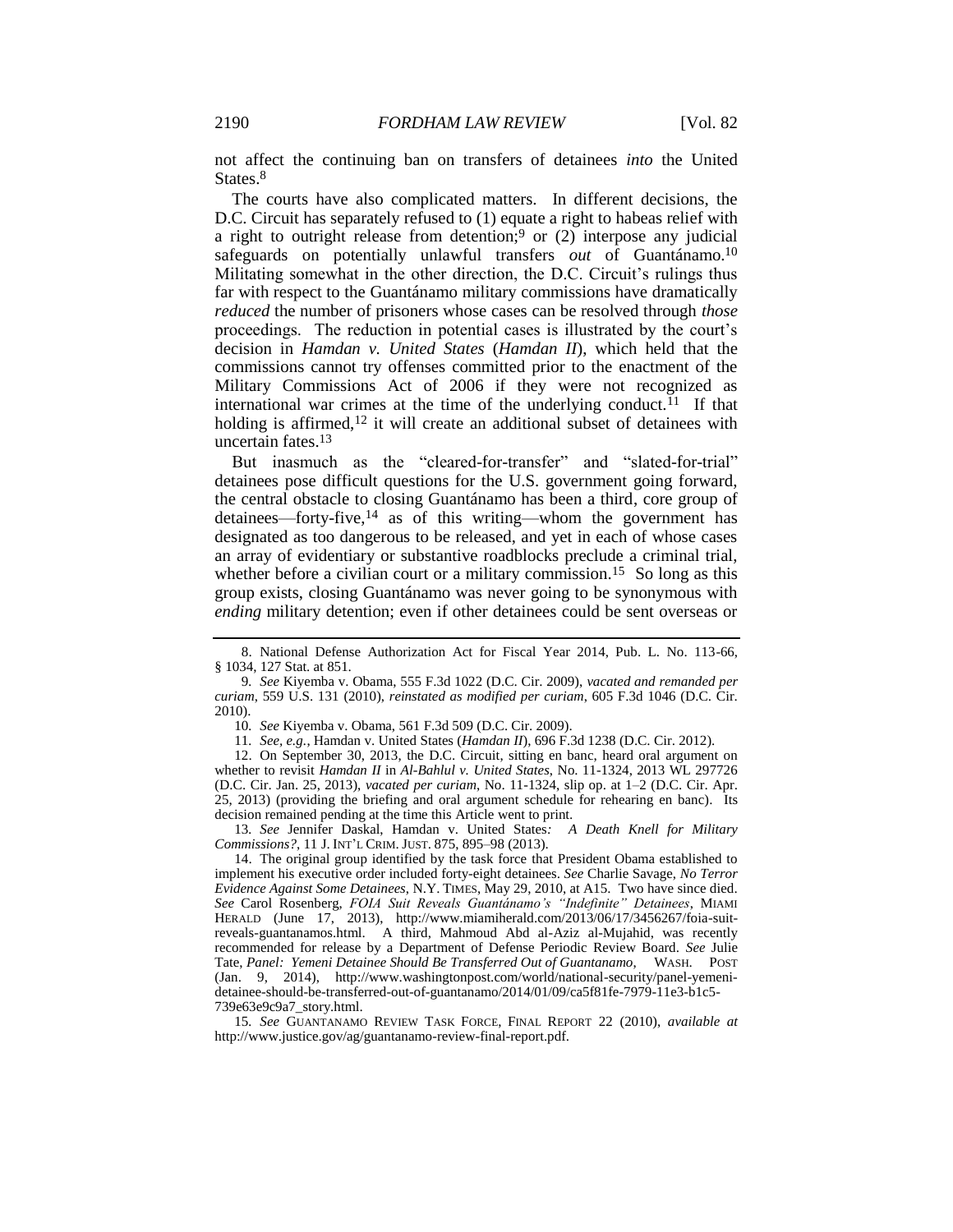not affect the continuing ban on transfers of detainees *into* the United States.<sup>8</sup>

The courts have also complicated matters. In different decisions, the D.C. Circuit has separately refused to (1) equate a right to habeas relief with a right to outright release from detention;<sup>9</sup> or  $(2)$  interpose any judicial safeguards on potentially unlawful transfers *out* of Guantánamo.<sup>10</sup> Militating somewhat in the other direction, the D.C. Circuit's rulings thus far with respect to the Guantánamo military commissions have dramatically *reduced* the number of prisoners whose cases can be resolved through *those* proceedings. The reduction in potential cases is illustrated by the court's decision in *Hamdan v. United States* (*Hamdan II*), which held that the commissions cannot try offenses committed prior to the enactment of the Military Commissions Act of 2006 if they were not recognized as international war crimes at the time of the underlying conduct.<sup>11</sup> If that holding is affirmed,  $12$  it will create an additional subset of detainees with uncertain fates.<sup>13</sup>

But inasmuch as the "cleared-for-transfer" and "slated-for-trial" detainees pose difficult questions for the U.S. government going forward, the central obstacle to closing Guantánamo has been a third, core group of detainees—forty-five,<sup>14</sup> as of this writing—whom the government has designated as too dangerous to be released, and yet in each of whose cases an array of evidentiary or substantive roadblocks preclude a criminal trial, whether before a civilian court or a military commission.<sup>15</sup> So long as this group exists, closing Guantánamo was never going to be synonymous with *ending* military detention; even if other detainees could be sent overseas or

10*. See* Kiyemba v. Obama, 561 F.3d 509 (D.C. Cir. 2009).

11*. See, e.g.*, Hamdan v. United States (*Hamdan II*), 696 F.3d 1238 (D.C. Cir. 2012).

12. On September 30, 2013, the D.C. Circuit, sitting en banc, heard oral argument on whether to revisit *Hamdan II* in *Al-Bahlul v. United States*, No. 11-1324, 2013 WL 297726 (D.C. Cir. Jan. 25, 2013), *vacated per curiam*, No. 11-1324, slip op. at 1–2 (D.C. Cir. Apr. 25, 2013) (providing the briefing and oral argument schedule for rehearing en banc). Its decision remained pending at the time this Article went to print.

13*. See* Jennifer Daskal, Hamdan v. United States*: A Death Knell for Military Commissions?*, 11 J. INT'L CRIM. JUST. 875, 895–98 (2013).

15*. See* GUANTANAMO REVIEW TASK FORCE, FINAL REPORT 22 (2010), *available at* http://www.justice.gov/ag/guantanamo-review-final-report.pdf.

<span id="page-1-0"></span><sup>8.</sup> National Defense Authorization Act for Fiscal Year 2014, Pub. L. No. 113-66, § 1034, 127 Stat. at 851.

<sup>9</sup>*. See* Kiyemba v. Obama, 555 F.3d 1022 (D.C. Cir. 2009), *vacated and remanded per curiam*, 559 U.S. 131 (2010), *reinstated as modified per curiam*, 605 F.3d 1046 (D.C. Cir. 2010).

<sup>14.</sup> The original group identified by the task force that President Obama established to implement his executive order included forty-eight detainees. *See* Charlie Savage, *No Terror Evidence Against Some Detainees*, N.Y. TIMES, May 29, 2010, at A15. Two have since died. *See* Carol Rosenberg, *FOIA Suit Reveals Guantánamo's "Indefinite" Detainees*, MIAMI HERALD (June 17, 2013), http://www.miamiherald.com/2013/06/17/3456267/foia-suitreveals-guantanamos.html. A third, Mahmoud Abd al-Aziz al-Mujahid, was recently recommended for release by a Department of Defense Periodic Review Board. *See* Julie Tate, *Panel: Yemeni Detainee Should Be Transferred Out of Guantanamo*, WASH. POST (Jan. 9, 2014), http://www.washingtonpost.com/world/national-security/panel-yemenidetainee-should-be-transferred-out-of-guantanamo/2014/01/09/ca5f81fe-7979-11e3-b1c5- 739e63e9c9a7\_story.html.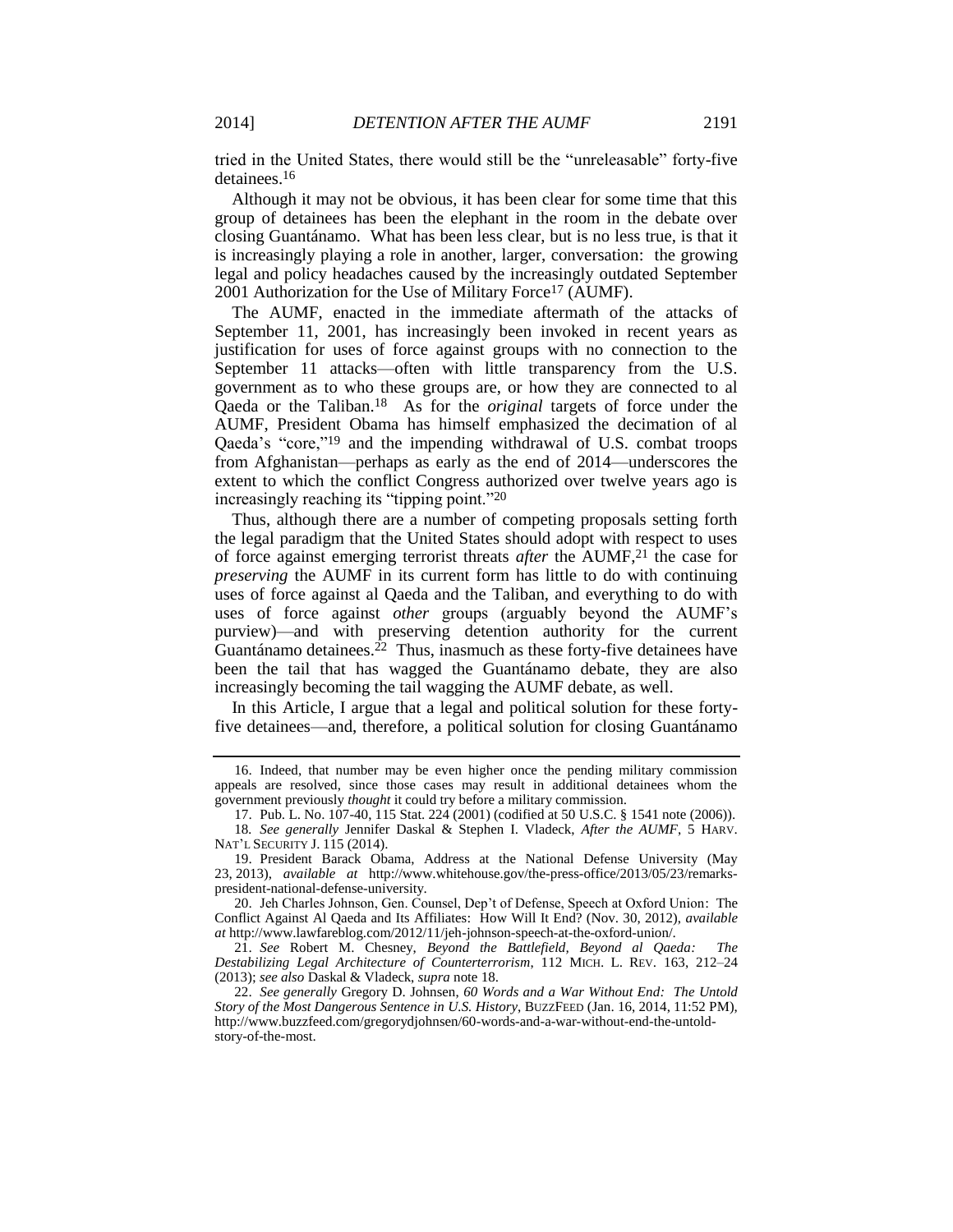tried in the United States, there would still be the "unreleasable" forty-five detainees.<sup>16</sup>

Although it may not be obvious, it has been clear for some time that this group of detainees has been the elephant in the room in the debate over closing Guantánamo. What has been less clear, but is no less true, is that it is increasingly playing a role in another, larger, conversation: the growing legal and policy headaches caused by the increasingly outdated September 2001 Authorization for the Use of Military Force<sup>17</sup> (AUMF).

<span id="page-2-0"></span>The AUMF, enacted in the immediate aftermath of the attacks of September 11, 2001, has increasingly been invoked in recent years as justification for uses of force against groups with no connection to the September 11 attacks—often with little transparency from the U.S. government as to who these groups are, or how they are connected to al Qaeda or the Taliban.18 As for the *original* targets of force under the AUMF, President Obama has himself emphasized the decimation of al Qaeda's "core,"<sup>19</sup> and the impending withdrawal of U.S. combat troops from Afghanistan—perhaps as early as the end of 2014—underscores the extent to which the conflict Congress authorized over twelve years ago is increasingly reaching its "tipping point."<sup>20</sup>

<span id="page-2-1"></span>Thus, although there are a number of competing proposals setting forth the legal paradigm that the United States should adopt with respect to uses of force against emerging terrorist threats *after* the AUMF,<sup>21</sup> the case for *preserving* the AUMF in its current form has little to do with continuing uses of force against al Qaeda and the Taliban, and everything to do with uses of force against *other* groups (arguably beyond the AUMF's purview)—and with preserving detention authority for the current Guantánamo detainees.<sup>22</sup> Thus, inasmuch as these forty-five detainees have been the tail that has wagged the Guantánamo debate, they are also increasingly becoming the tail wagging the AUMF debate, as well.

In this Article, I argue that a legal and political solution for these fortyfive detainees—and, therefore, a political solution for closing Guantánamo

<sup>16.</sup> Indeed, that number may be even higher once the pending military commission appeals are resolved, since those cases may result in additional detainees whom the government previously *thought* it could try before a military commission.

<sup>17.</sup> Pub. L. No. 107-40, 115 Stat. 224 (2001) (codified at 50 U.S.C. § 1541 note (2006)). 18*. See generally* Jennifer Daskal & Stephen I. Vladeck, *After the AUMF*, 5 HARV.

NAT'L SECURITY J. 115 (2014).

<sup>19.</sup> President Barack Obama, Address at the National Defense University (May 23, 2013), *available at* http://www.whitehouse.gov/the-press-office/2013/05/23/remarkspresident-national-defense-university.

<sup>20.</sup> Jeh Charles Johnson, Gen. Counsel, Dep't of Defense, Speech at Oxford Union: The Conflict Against Al Qaeda and Its Affiliates: How Will It End? (Nov. 30, 2012), *available at* http://www.lawfareblog.com/2012/11/jeh-johnson-speech-at-the-oxford-union/.

<sup>21.</sup> *See* Robert M. Chesney, *Beyond the Battlefield, Beyond al Qaeda: The Destabilizing Legal Architecture of Counterterrorism*, 112 MICH. L. REV. 163, 212–24 (2013); *see also* Daskal & Vladeck, *supra* not[e 18.](#page-2-0)

<sup>22.</sup> *See generally* Gregory D. Johnsen, *60 Words and a War Without End: The Untold Story of the Most Dangerous Sentence in U.S. History*, BUZZFEED (Jan. 16, 2014, 11:52 PM), http://www.buzzfeed.com/gregorydjohnsen/60-words-and-a-war-without-end-the-untoldstory-of-the-most.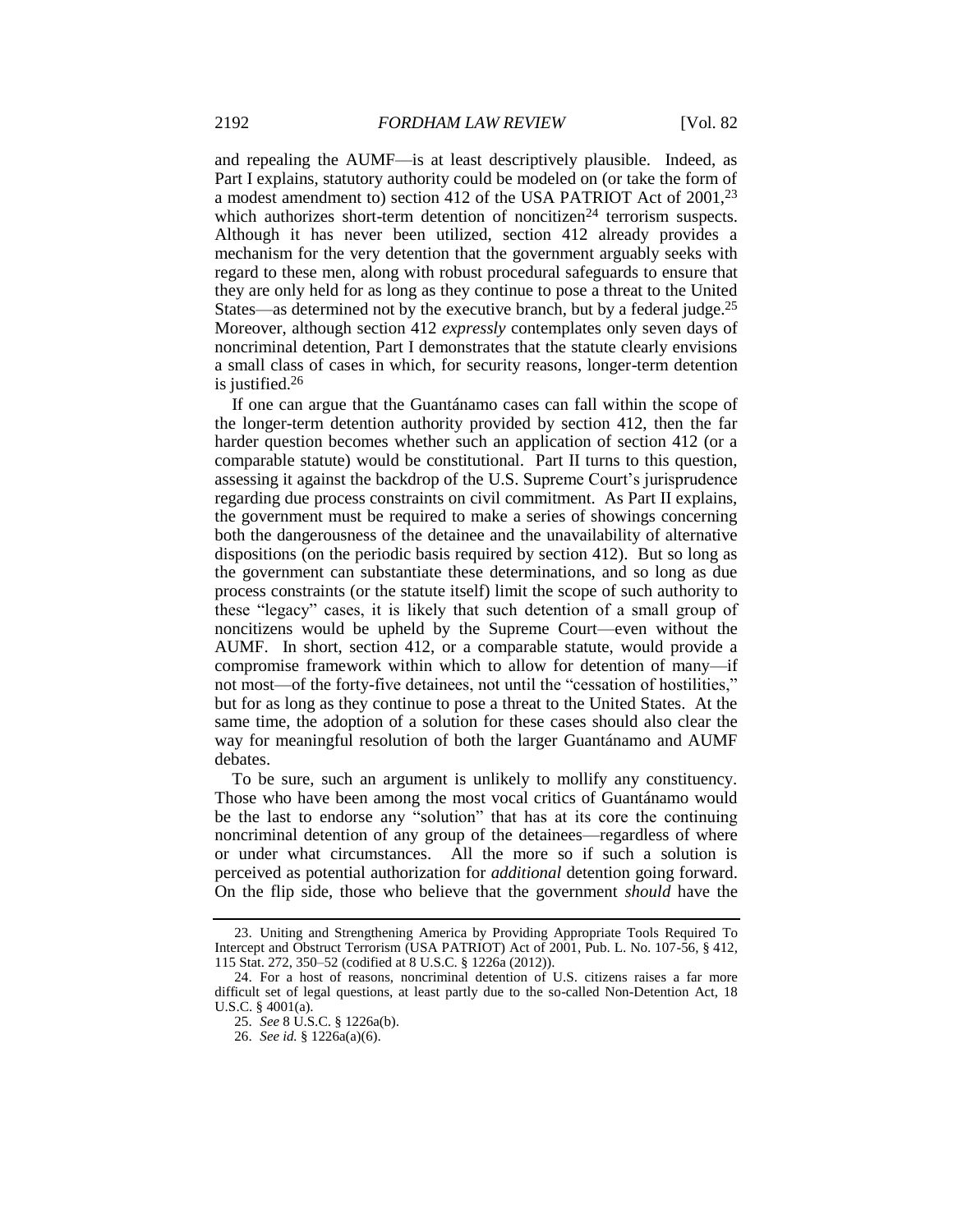and repealing the AUMF—is at least descriptively plausible. Indeed, as Part I explains, statutory authority could be modeled on (or take the form of a modest amendment to) section 412 of the USA PATRIOT Act of 2001,<sup>23</sup> which authorizes short-term detention of noncitizen<sup>24</sup> terrorism suspects. Although it has never been utilized, section 412 already provides a mechanism for the very detention that the government arguably seeks with regard to these men, along with robust procedural safeguards to ensure that they are only held for as long as they continue to pose a threat to the United States—as determined not by the executive branch, but by a federal judge.<sup>25</sup> Moreover, although section 412 *expressly* contemplates only seven days of noncriminal detention, Part I demonstrates that the statute clearly envisions a small class of cases in which, for security reasons, longer-term detention is justified.<sup>26</sup>

If one can argue that the Guantánamo cases can fall within the scope of the longer-term detention authority provided by section 412, then the far harder question becomes whether such an application of section 412 (or a comparable statute) would be constitutional. Part II turns to this question, assessing it against the backdrop of the U.S. Supreme Court's jurisprudence regarding due process constraints on civil commitment. As Part II explains, the government must be required to make a series of showings concerning both the dangerousness of the detainee and the unavailability of alternative dispositions (on the periodic basis required by section 412). But so long as the government can substantiate these determinations, and so long as due process constraints (or the statute itself) limit the scope of such authority to these "legacy" cases, it is likely that such detention of a small group of noncitizens would be upheld by the Supreme Court—even without the AUMF. In short, section 412, or a comparable statute, would provide a compromise framework within which to allow for detention of many—if not most—of the forty-five detainees, not until the "cessation of hostilities," but for as long as they continue to pose a threat to the United States. At the same time, the adoption of a solution for these cases should also clear the way for meaningful resolution of both the larger Guantánamo and AUMF debates.

To be sure, such an argument is unlikely to mollify any constituency. Those who have been among the most vocal critics of Guantánamo would be the last to endorse any "solution" that has at its core the continuing noncriminal detention of any group of the detainees—regardless of where or under what circumstances. All the more so if such a solution is perceived as potential authorization for *additional* detention going forward. On the flip side, those who believe that the government *should* have the

<sup>23.</sup> Uniting and Strengthening America by Providing Appropriate Tools Required To Intercept and Obstruct Terrorism (USA PATRIOT) Act of 2001, Pub. L. No. 107-56, § 412, 115 Stat. 272, 350–52 (codified at 8 U.S.C. § 1226a (2012)).

<sup>24.</sup> For a host of reasons, noncriminal detention of U.S. citizens raises a far more difficult set of legal questions, at least partly due to the so-called Non-Detention Act, 18 U.S.C. § 4001(a).

<sup>25.</sup> *See* 8 U.S.C. § 1226a(b).

<sup>26.</sup> *See id.* § 1226a(a)(6).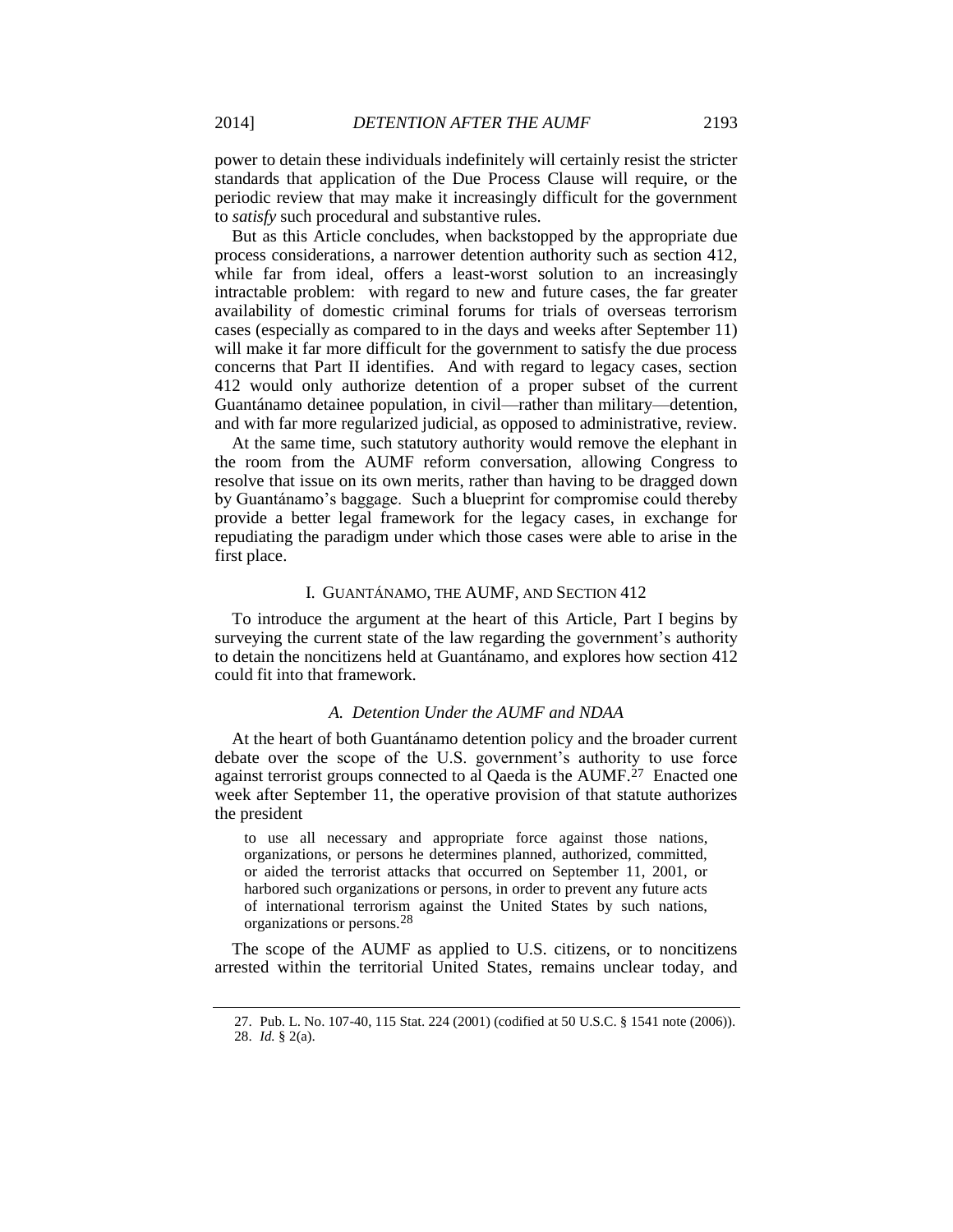power to detain these individuals indefinitely will certainly resist the stricter standards that application of the Due Process Clause will require, or the periodic review that may make it increasingly difficult for the government to *satisfy* such procedural and substantive rules.

But as this Article concludes, when backstopped by the appropriate due process considerations, a narrower detention authority such as section 412, while far from ideal, offers a least-worst solution to an increasingly intractable problem: with regard to new and future cases, the far greater availability of domestic criminal forums for trials of overseas terrorism cases (especially as compared to in the days and weeks after September 11) will make it far more difficult for the government to satisfy the due process concerns that Part II identifies. And with regard to legacy cases, section 412 would only authorize detention of a proper subset of the current Guantánamo detainee population, in civil—rather than military—detention, and with far more regularized judicial, as opposed to administrative, review.

At the same time, such statutory authority would remove the elephant in the room from the AUMF reform conversation, allowing Congress to resolve that issue on its own merits, rather than having to be dragged down by Guantánamo's baggage. Such a blueprint for compromise could thereby provide a better legal framework for the legacy cases, in exchange for repudiating the paradigm under which those cases were able to arise in the first place.

### I. GUANTÁNAMO, THE AUMF, AND SECTION 412

To introduce the argument at the heart of this Article, Part I begins by surveying the current state of the law regarding the government's authority to detain the noncitizens held at Guantánamo, and explores how section 412 could fit into that framework.

## *A. Detention Under the AUMF and NDAA*

At the heart of both Guantánamo detention policy and the broader current debate over the scope of the U.S. government's authority to use force against terrorist groups connected to al Qaeda is the AUMF.<sup>27</sup> Enacted one week after September 11, the operative provision of that statute authorizes the president

to use all necessary and appropriate force against those nations, organizations, or persons he determines planned, authorized, committed, or aided the terrorist attacks that occurred on September 11, 2001, or harbored such organizations or persons, in order to prevent any future acts of international terrorism against the United States by such nations, organizations or persons.28

The scope of the AUMF as applied to U.S. citizens, or to noncitizens arrested within the territorial United States, remains unclear today, and

<sup>27.</sup> Pub. L. No. 107-40, 115 Stat. 224 (2001) (codified at 50 U.S.C. § 1541 note (2006)). 28. *Id.* § 2(a).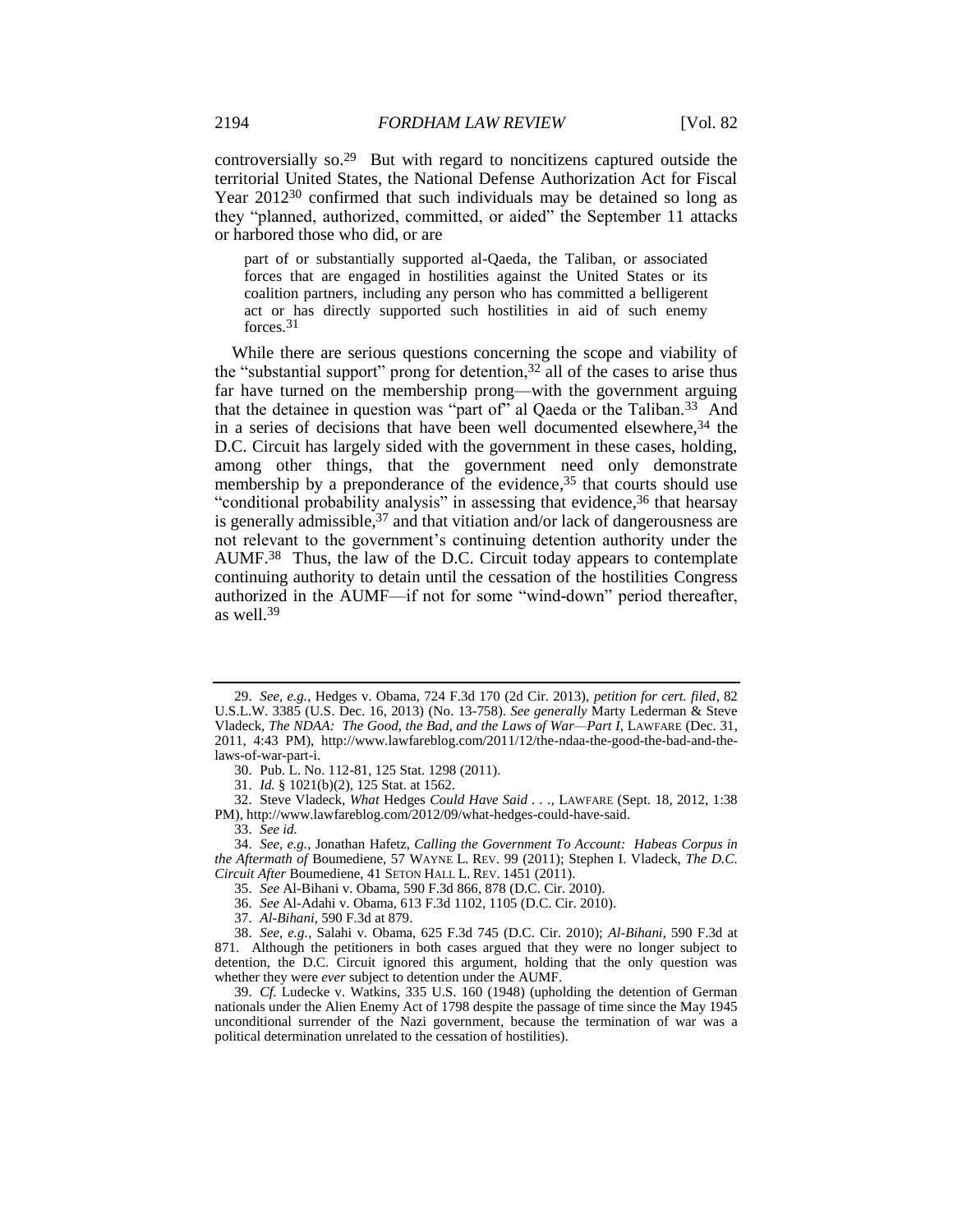controversially so.29 But with regard to noncitizens captured outside the territorial United States, the National Defense Authorization Act for Fiscal Year 2012<sup>30</sup> confirmed that such individuals may be detained so long as they "planned, authorized, committed, or aided" the September 11 attacks or harbored those who did, or are

<span id="page-5-1"></span>part of or substantially supported al-Qaeda, the Taliban, or associated forces that are engaged in hostilities against the United States or its coalition partners, including any person who has committed a belligerent act or has directly supported such hostilities in aid of such enemy forces.31

<span id="page-5-0"></span>While there are serious questions concerning the scope and viability of the "substantial support" prong for detention,  $32$  all of the cases to arise thus far have turned on the membership prong—with the government arguing that the detainee in question was "part of" al Qaeda or the Taliban.<sup>33</sup> And in a series of decisions that have been well documented elsewhere,  $34$  the D.C. Circuit has largely sided with the government in these cases, holding, among other things, that the government need only demonstrate membership by a preponderance of the evidence, <sup>35</sup> that courts should use "conditional probability analysis" in assessing that evidence, <sup>36</sup> that hearsay is generally admissible, <sup>37</sup> and that vitiation and/or lack of dangerousness are not relevant to the government's continuing detention authority under the AUMF.38 Thus, the law of the D.C. Circuit today appears to contemplate continuing authority to detain until the cessation of the hostilities Congress authorized in the AUMF—if not for some "wind-down" period thereafter, as well.<sup>39</sup>

30. Pub. L. No. 112-81, 125 Stat. 1298 (2011).

31. *Id.* § 1021(b)(2), 125 Stat. at 1562.

32. Steve Vladeck, *What* Hedges *Could Have Said . . .*, LAWFARE (Sept. 18, 2012, 1:38 PM), http://www.lawfareblog.com/2012/09/what-hedges-could-have-said.

33. *See id.*

<sup>29.</sup> *See, e.g.*, Hedges v. Obama, 724 F.3d 170 (2d Cir. 2013), *petition for cert. filed*, 82 U.S.L.W. 3385 (U.S. Dec. 16, 2013) (No. 13-758). *See generally* Marty Lederman & Steve Vladeck, *The NDAA: The Good, the Bad, and the Laws of War—Part I*, LAWFARE (Dec. 31, 2011, 4:43 PM), http://www.lawfareblog.com/2011/12/the-ndaa-the-good-the-bad-and-thelaws-of-war-part-i.

<sup>34.</sup> *See, e.g.*, Jonathan Hafetz, *Calling the Government To Account: Habeas Corpus in the Aftermath of* Boumediene, 57 WAYNE L. REV. 99 (2011); Stephen I. Vladeck, *The D.C. Circuit After* Boumediene, 41 SETON HALL L. REV. 1451 (2011).

<sup>35.</sup> *See* Al-Bihani v. Obama, 590 F.3d 866, 878 (D.C. Cir. 2010).

<sup>36.</sup> *See* Al-Adahi v. Obama, 613 F.3d 1102, 1105 (D.C. Cir. 2010).

<sup>37.</sup> *Al-Bihani*, 590 F.3d at 879.

<sup>38.</sup> *See, e.g.*, Salahi v. Obama, 625 F.3d 745 (D.C. Cir. 2010); *Al-Bihani*, 590 F.3d at 871. Although the petitioners in both cases argued that they were no longer subject to detention, the D.C. Circuit ignored this argument, holding that the only question was whether they were *ever* subject to detention under the AUMF.

<sup>39.</sup> *Cf.* Ludecke v. Watkins, 335 U.S. 160 (1948) (upholding the detention of German nationals under the Alien Enemy Act of 1798 despite the passage of time since the May 1945 unconditional surrender of the Nazi government, because the termination of war was a political determination unrelated to the cessation of hostilities).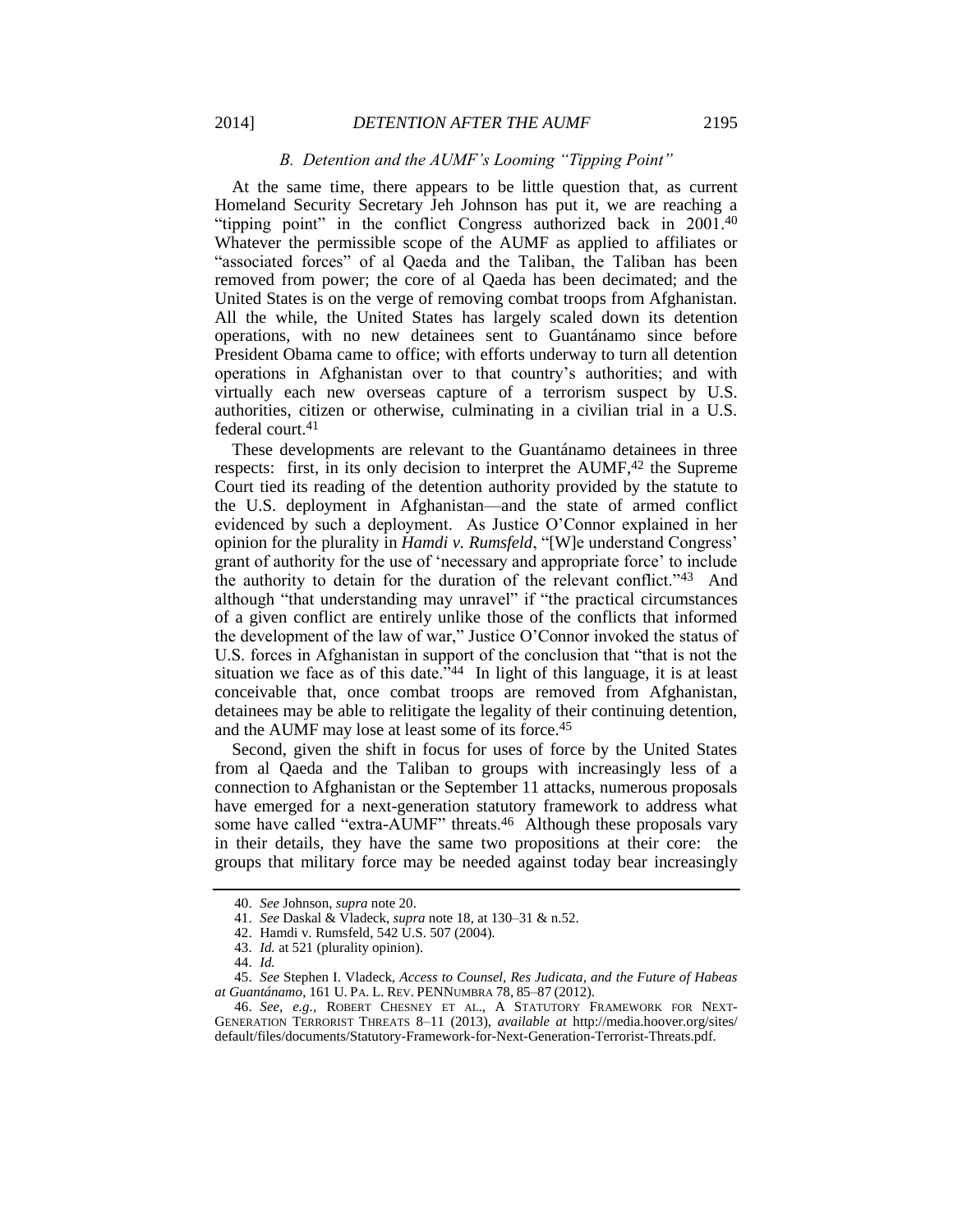### *B. Detention and the AUMF's Looming "Tipping Point"*

At the same time, there appears to be little question that, as current Homeland Security Secretary Jeh Johnson has put it, we are reaching a "tipping point" in the conflict Congress authorized back in 2001.<sup>40</sup> Whatever the permissible scope of the AUMF as applied to affiliates or "associated forces" of al Qaeda and the Taliban, the Taliban has been removed from power; the core of al Qaeda has been decimated; and the United States is on the verge of removing combat troops from Afghanistan. All the while, the United States has largely scaled down its detention operations, with no new detainees sent to Guantánamo since before President Obama came to office; with efforts underway to turn all detention operations in Afghanistan over to that country's authorities; and with virtually each new overseas capture of a terrorism suspect by U.S. authorities, citizen or otherwise, culminating in a civilian trial in a U.S. federal court.<sup>41</sup>

These developments are relevant to the Guantánamo detainees in three respects: first, in its only decision to interpret the AUMF, $42$  the Supreme Court tied its reading of the detention authority provided by the statute to the U.S. deployment in Afghanistan—and the state of armed conflict evidenced by such a deployment. As Justice O'Connor explained in her opinion for the plurality in *Hamdi v. Rumsfeld*, "[W]e understand Congress' grant of authority for the use of 'necessary and appropriate force' to include the authority to detain for the duration of the relevant conflict."<sup>43</sup> And although "that understanding may unravel" if "the practical circumstances of a given conflict are entirely unlike those of the conflicts that informed the development of the law of war," Justice O'Connor invoked the status of U.S. forces in Afghanistan in support of the conclusion that "that is not the situation we face as of this date.<sup> $344$ </sup> In light of this language, it is at least conceivable that, once combat troops are removed from Afghanistan, detainees may be able to relitigate the legality of their continuing detention, and the AUMF may lose at least some of its force.<sup>45</sup>

Second, given the shift in focus for uses of force by the United States from al Qaeda and the Taliban to groups with increasingly less of a connection to Afghanistan or the September 11 attacks, numerous proposals have emerged for a next-generation statutory framework to address what some have called "extra-AUMF" threats.<sup>46</sup> Although these proposals vary in their details, they have the same two propositions at their core: the groups that military force may be needed against today bear increasingly

<sup>40.</sup> *See* Johnson, *supra* note [20.](#page-2-1)

<sup>41.</sup> *See* Daskal & Vladeck, *supra* not[e 18,](#page-2-0) at 130–31 & n.52.

<sup>42.</sup> Hamdi v. Rumsfeld, 542 U.S. 507 (2004).

<sup>43.</sup> *Id.* at 521 (plurality opinion).

<sup>44.</sup> *Id.*

<sup>45.</sup> *See* Stephen I. Vladeck, *Access to Counsel, Res Judicata, and the Future of Habeas at Guantánamo*, 161 U. PA. L. REV. PENNUMBRA 78, 85–87 (2012).

<sup>46.</sup> *See, e.g.*, ROBERT CHESNEY ET AL., A STATUTORY FRAMEWORK FOR NEXT-GENERATION TERRORIST THREATS 8–11 (2013), *available at* http://media.hoover.org/sites/ default/files/documents/Statutory-Framework-for-Next-Generation-Terrorist-Threats.pdf.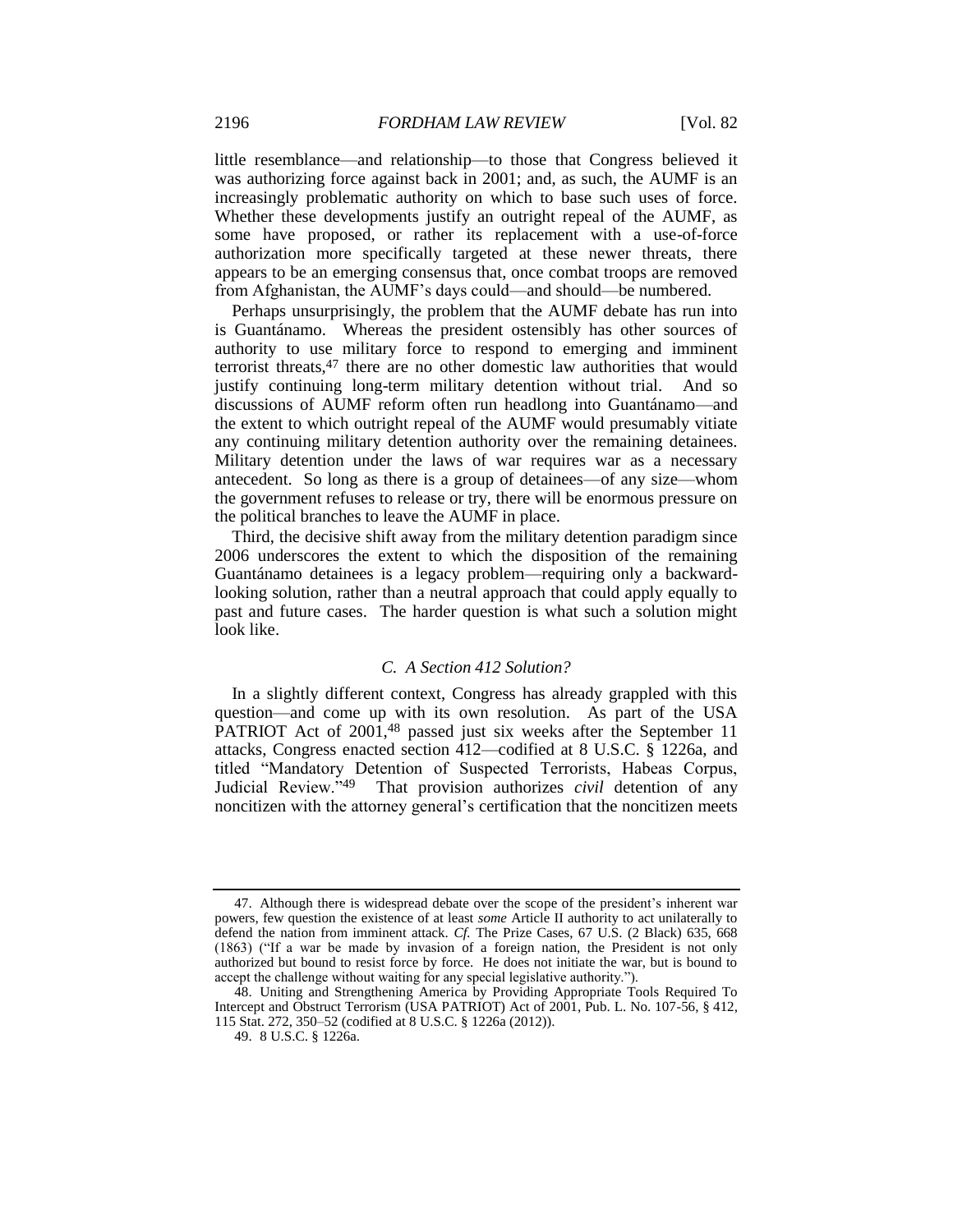little resemblance—and relationship—to those that Congress believed it was authorizing force against back in 2001; and, as such, the AUMF is an increasingly problematic authority on which to base such uses of force. Whether these developments justify an outright repeal of the AUMF, as some have proposed, or rather its replacement with a use-of-force authorization more specifically targeted at these newer threats, there appears to be an emerging consensus that, once combat troops are removed from Afghanistan, the AUMF's days could—and should—be numbered.

Perhaps unsurprisingly, the problem that the AUMF debate has run into is Guantánamo. Whereas the president ostensibly has other sources of authority to use military force to respond to emerging and imminent terrorist threats,<sup>47</sup> there are no other domestic law authorities that would justify continuing long-term military detention without trial. And so discussions of AUMF reform often run headlong into Guantánamo—and the extent to which outright repeal of the AUMF would presumably vitiate any continuing military detention authority over the remaining detainees. Military detention under the laws of war requires war as a necessary antecedent. So long as there is a group of detainees—of any size—whom the government refuses to release or try, there will be enormous pressure on the political branches to leave the AUMF in place.

Third, the decisive shift away from the military detention paradigm since 2006 underscores the extent to which the disposition of the remaining Guantánamo detainees is a legacy problem—requiring only a backwardlooking solution, rather than a neutral approach that could apply equally to past and future cases. The harder question is what such a solution might look like.

# *C. A Section 412 Solution?*

In a slightly different context, Congress has already grappled with this question—and come up with its own resolution. As part of the USA PATRIOT Act of  $2001,48$  passed just six weeks after the September 11 attacks, Congress enacted section 412—codified at 8 U.S.C. § 1226a, and titled "Mandatory Detention of Suspected Terrorists, Habeas Corpus, Judicial Review."49 That provision authorizes *civil* detention of any noncitizen with the attorney general's certification that the noncitizen meets

<sup>47.</sup> Although there is widespread debate over the scope of the president's inherent war powers, few question the existence of at least *some* Article II authority to act unilaterally to defend the nation from imminent attack. *Cf.* The Prize Cases, 67 U.S. (2 Black) 635, 668 (1863) ("If a war be made by invasion of a foreign nation, the President is not only authorized but bound to resist force by force. He does not initiate the war, but is bound to accept the challenge without waiting for any special legislative authority.").

<sup>48.</sup> Uniting and Strengthening America by Providing Appropriate Tools Required To Intercept and Obstruct Terrorism (USA PATRIOT) Act of 2001, Pub. L. No. 107-56, § 412, 115 Stat. 272, 350–52 (codified at 8 U.S.C. § 1226a (2012)).

<sup>49.</sup> 8 U.S.C. § 1226a.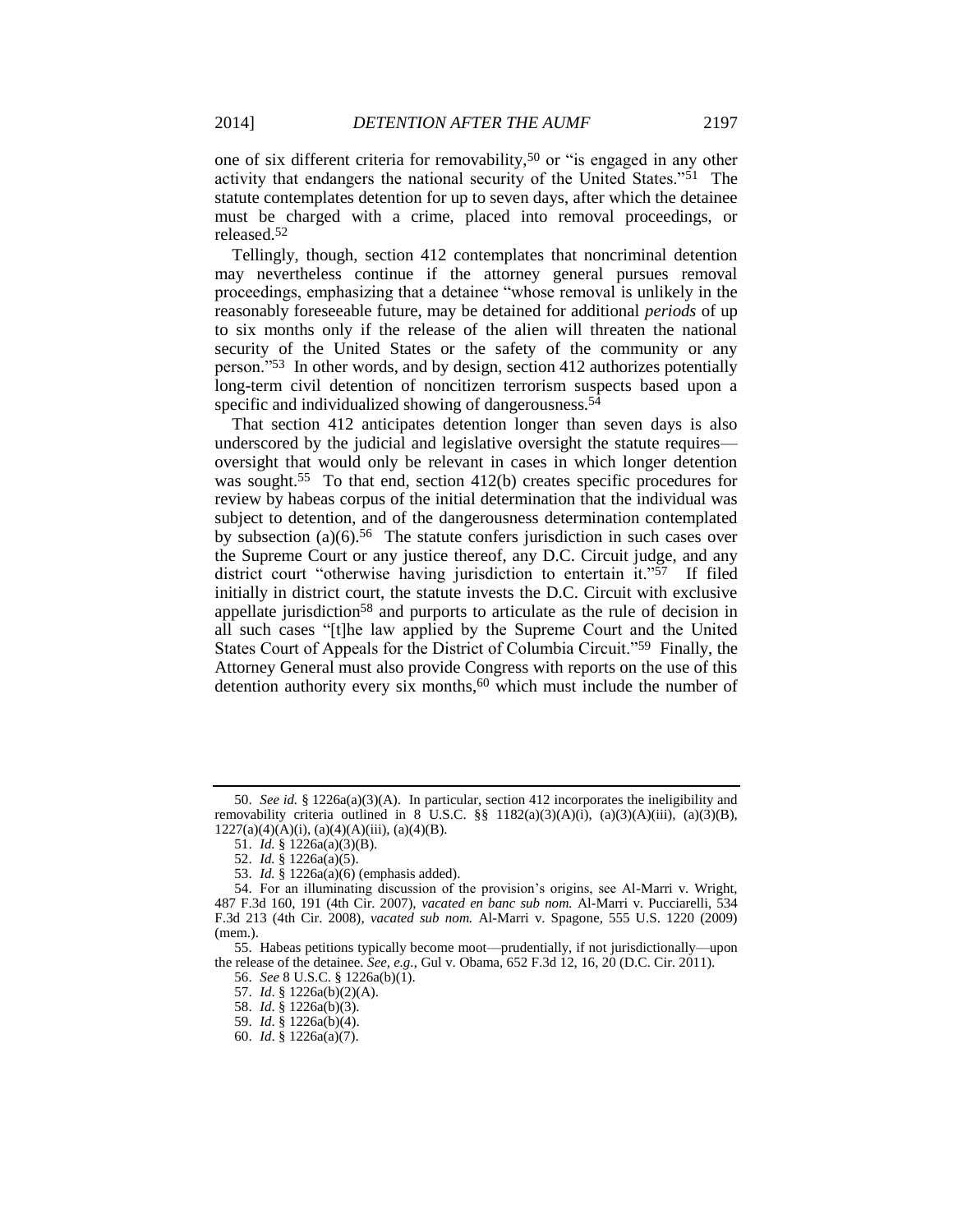Tellingly, though, section 412 contemplates that noncriminal detention may nevertheless continue if the attorney general pursues removal proceedings, emphasizing that a detainee "whose removal is unlikely in the reasonably foreseeable future, may be detained for additional *periods* of up to six months only if the release of the alien will threaten the national security of the United States or the safety of the community or any person."53 In other words, and by design, section 412 authorizes potentially long-term civil detention of noncitizen terrorism suspects based upon a specific and individualized showing of dangerousness.<sup>54</sup>

That section 412 anticipates detention longer than seven days is also underscored by the judicial and legislative oversight the statute requires oversight that would only be relevant in cases in which longer detention was sought.<sup>55</sup> To that end, section 412(b) creates specific procedures for review by habeas corpus of the initial determination that the individual was subject to detention, and of the dangerousness determination contemplated by subsection (a)(6).<sup>56</sup> The statute confers jurisdiction in such cases over the Supreme Court or any justice thereof, any D.C. Circuit judge, and any district court "otherwise having jurisdiction to entertain it."<sup>57</sup> If filed initially in district court, the statute invests the D.C. Circuit with exclusive appellate jurisdiction<sup>58</sup> and purports to articulate as the rule of decision in all such cases "[t]he law applied by the Supreme Court and the United States Court of Appeals for the District of Columbia Circuit."59 Finally, the Attorney General must also provide Congress with reports on the use of this detention authority every six months,<sup>60</sup> which must include the number of

released.<sup>52</sup>

<sup>50.</sup> *See id.* § 1226a(a)(3)(A). In particular, section 412 incorporates the ineligibility and removability criteria outlined in 8 U.S.C. §§ 1182(a)(3)(A)(i), (a)(3)(A)(iii), (a)(3)(B),  $1227(a)(4)(A)(i)$ ,  $(a)(4)(A)(iii)$ ,  $(a)(4)(B)$ .

<sup>51.</sup> *Id.* § 1226a(a)(3)(B).

<sup>52.</sup> *Id.* § 1226a(a)(5).

<sup>53.</sup> *Id.* § 1226a(a)(6) (emphasis added).

<sup>54.</sup> For an illuminating discussion of the provision's origins, see Al-Marri v. Wright, 487 F.3d 160, 191 (4th Cir. 2007), *vacated en banc sub nom.* Al-Marri v. Pucciarelli, 534 F.3d 213 (4th Cir. 2008), *vacated sub nom.* Al-Marri v. Spagone, 555 U.S. 1220 (2009) (mem.).

<sup>55.</sup> Habeas petitions typically become moot—prudentially, if not jurisdictionally—upon the release of the detainee. *See, e.g.*, Gul v. Obama, 652 F.3d 12, 16, 20 (D.C. Cir. 2011).

<sup>56.</sup> *See* 8 U.S.C. § 1226a(b)(1).

<sup>57.</sup> *Id*. § 1226a(b)(2)(A).

<sup>58.</sup> *Id*. § 1226a(b)(3).

<sup>59.</sup> *Id*. § 1226a(b)(4).

<sup>60.</sup> *Id*. § 1226a(a)(7).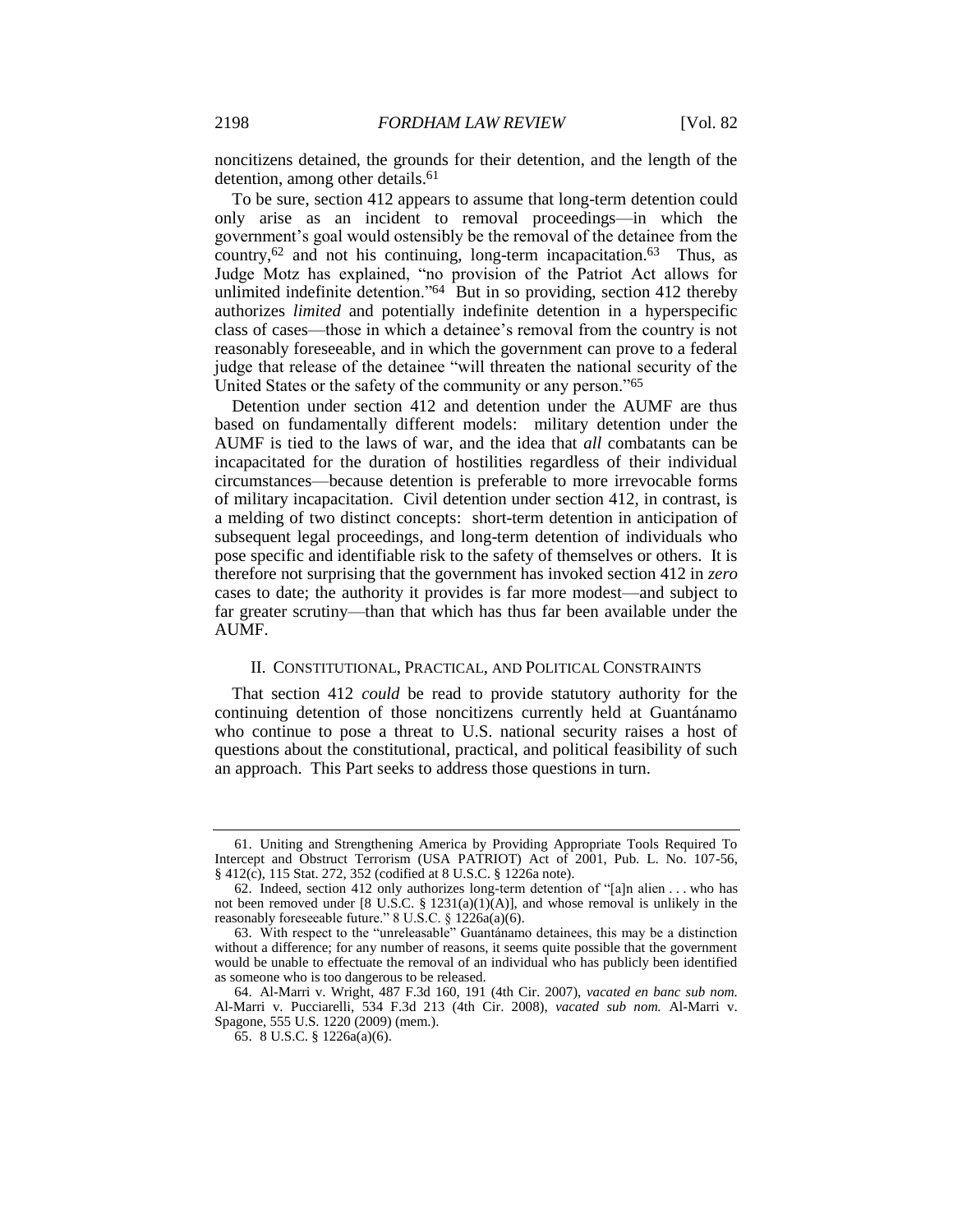noncitizens detained, the grounds for their detention, and the length of the detention, among other details.<sup>61</sup>

To be sure, section 412 appears to assume that long-term detention could only arise as an incident to removal proceedings—in which the government's goal would ostensibly be the removal of the detainee from the country, $62$  and not his continuing, long-term incapacitation. $63$  Thus, as Judge Motz has explained, "no provision of the Patriot Act allows for unlimited indefinite detention."64 But in so providing, section 412 thereby authorizes *limited* and potentially indefinite detention in a hyperspecific class of cases—those in which a detainee's removal from the country is not reasonably foreseeable, and in which the government can prove to a federal judge that release of the detainee "will threaten the national security of the United States or the safety of the community or any person."<sup>65</sup>

Detention under section 412 and detention under the AUMF are thus based on fundamentally different models: military detention under the AUMF is tied to the laws of war, and the idea that *all* combatants can be incapacitated for the duration of hostilities regardless of their individual circumstances—because detention is preferable to more irrevocable forms of military incapacitation. Civil detention under section 412, in contrast, is a melding of two distinct concepts: short-term detention in anticipation of subsequent legal proceedings, and long-term detention of individuals who pose specific and identifiable risk to the safety of themselves or others. It is therefore not surprising that the government has invoked section 412 in *zero* cases to date; the authority it provides is far more modest—and subject to far greater scrutiny—than that which has thus far been available under the AUMF.

### II. CONSTITUTIONAL, PRACTICAL, AND POLITICAL CONSTRAINTS

That section 412 *could* be read to provide statutory authority for the continuing detention of those noncitizens currently held at Guantánamo who continue to pose a threat to U.S. national security raises a host of questions about the constitutional, practical, and political feasibility of such an approach. This Part seeks to address those questions in turn.

<sup>61.</sup> Uniting and Strengthening America by Providing Appropriate Tools Required To Intercept and Obstruct Terrorism (USA PATRIOT) Act of 2001, Pub. L. No. 107-56, § 412(c), 115 Stat. 272, 352 (codified at 8 U.S.C. § 1226a note).

<sup>62.</sup> Indeed, section 412 only authorizes long-term detention of "[a]n alien . . . who has not been removed under  $[8 \text{ U.S.C. } § 1231(a)(1)(A)],$  and whose removal is unlikely in the reasonably foreseeable future." 8 U.S.C. § 1226a(a)(6).

<sup>63.</sup> With respect to the "unreleasable" Guantánamo detainees, this may be a distinction without a difference; for any number of reasons, it seems quite possible that the government would be unable to effectuate the removal of an individual who has publicly been identified as someone who is too dangerous to be released.

<sup>64.</sup> Al-Marri v. Wright, 487 F.3d 160, 191 (4th Cir. 2007), *vacated en banc sub nom.* Al-Marri v. Pucciarelli, 534 F.3d 213 (4th Cir. 2008), *vacated sub nom.* Al-Marri v. Spagone, 555 U.S. 1220 (2009) (mem.).

<sup>65.</sup> 8 U.S.C. § 1226a(a)(6).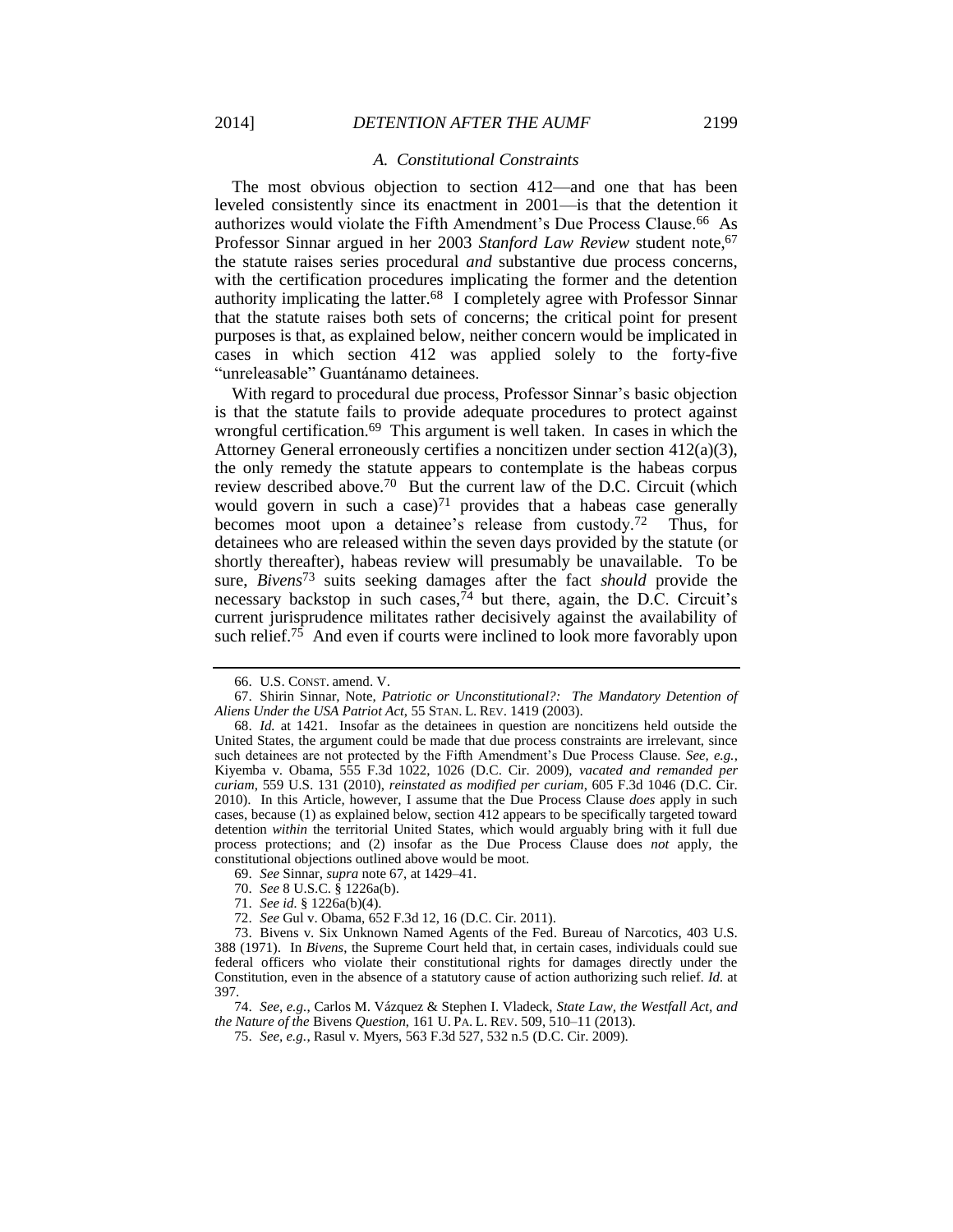#### <span id="page-10-0"></span>*A. Constitutional Constraints*

The most obvious objection to section 412—and one that has been leveled consistently since its enactment in 2001—is that the detention it authorizes would violate the Fifth Amendment's Due Process Clause.66 As Professor Sinnar argued in her 2003 *Stanford Law Review* student note,<sup>67</sup> the statute raises series procedural *and* substantive due process concerns, with the certification procedures implicating the former and the detention authority implicating the latter.68 I completely agree with Professor Sinnar that the statute raises both sets of concerns; the critical point for present purposes is that, as explained below, neither concern would be implicated in cases in which section 412 was applied solely to the forty-five "unreleasable" Guantánamo detainees.

With regard to procedural due process, Professor Sinnar's basic objection is that the statute fails to provide adequate procedures to protect against wrongful certification.<sup>69</sup> This argument is well taken. In cases in which the Attorney General erroneously certifies a noncitizen under section 412(a)(3), the only remedy the statute appears to contemplate is the habeas corpus review described above.70 But the current law of the D.C. Circuit (which would govern in such a case) $71$  provides that a habeas case generally becomes moot upon a detainee's release from custody.72 Thus, for detainees who are released within the seven days provided by the statute (or shortly thereafter), habeas review will presumably be unavailable. To be sure, *Bivens*<sup>73</sup> suits seeking damages after the fact *should* provide the necessary backstop in such cases,  $74$  but there, again, the D.C. Circuit's current jurisprudence militates rather decisively against the availability of such relief.75 And even if courts were inclined to look more favorably upon

- 69. *See* Sinnar, *supra* not[e 67,](#page-10-0) at 1429–41.
- 70. *See* 8 U.S.C. § 1226a(b).
- 71. *See id.* § 1226a(b)(4).
- 72. *See* Gul v. Obama, 652 F.3d 12, 16 (D.C. Cir. 2011).

<sup>66.</sup> U.S. CONST. amend. V.

<sup>67.</sup> Shirin Sinnar, Note, *Patriotic or Unconstitutional?: The Mandatory Detention of Aliens Under the USA Patriot Act*, 55 STAN. L. REV. 1419 (2003).

<sup>68.</sup> *Id.* at 1421. Insofar as the detainees in question are noncitizens held outside the United States, the argument could be made that due process constraints are irrelevant, since such detainees are not protected by the Fifth Amendment's Due Process Clause. *See, e.g.*, Kiyemba v. Obama, 555 F.3d 1022, 1026 (D.C. Cir. 2009), *vacated and remanded per curiam*, 559 U.S. 131 (2010), *reinstated as modified per curiam*, 605 F.3d 1046 (D.C. Cir. 2010). In this Article, however, I assume that the Due Process Clause *does* apply in such cases, because (1) as explained below, section 412 appears to be specifically targeted toward detention *within* the territorial United States, which would arguably bring with it full due process protections; and (2) insofar as the Due Process Clause does *not* apply, the constitutional objections outlined above would be moot.

<sup>73.</sup> Bivens v. Six Unknown Named Agents of the Fed. Bureau of Narcotics, 403 U.S. 388 (1971). In *Bivens*, the Supreme Court held that, in certain cases, individuals could sue federal officers who violate their constitutional rights for damages directly under the Constitution, even in the absence of a statutory cause of action authorizing such relief. *Id.* at 397.

<sup>74.</sup> *See, e.g.*, Carlos M. Vázquez & Stephen I. Vladeck, *State Law, the Westfall Act, and the Nature of the* Bivens *Question*, 161 U. PA. L. REV. 509, 510–11 (2013).

<sup>75.</sup> *See, e.g.*, Rasul v. Myers, 563 F.3d 527, 532 n.5 (D.C. Cir. 2009).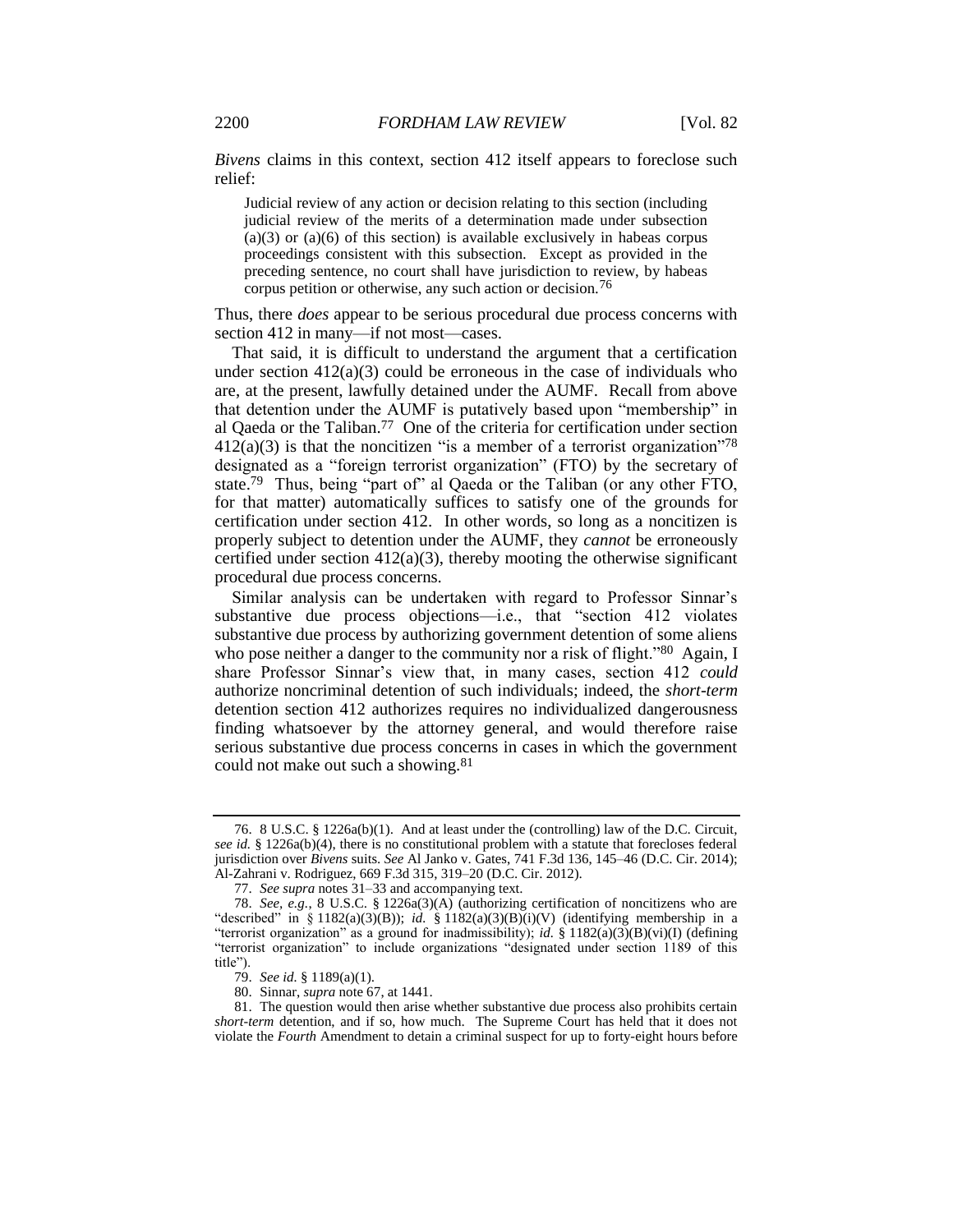*Bivens* claims in this context, section 412 itself appears to foreclose such relief:

Judicial review of any action or decision relating to this section (including judicial review of the merits of a determination made under subsection  $(a)(3)$  or  $(a)(6)$  of this section) is available exclusively in habeas corpus proceedings consistent with this subsection. Except as provided in the preceding sentence, no court shall have jurisdiction to review, by habeas corpus petition or otherwise, any such action or decision.<sup>76</sup>

Thus, there *does* appear to be serious procedural due process concerns with section 412 in many—if not most—cases.

That said, it is difficult to understand the argument that a certification under section  $412(a)(3)$  could be erroneous in the case of individuals who are, at the present, lawfully detained under the AUMF. Recall from above that detention under the AUMF is putatively based upon "membership" in al Qaeda or the Taliban.77 One of the criteria for certification under section  $412(a)(3)$  is that the noncitizen "is a member of a terrorist organization"<sup>78</sup> designated as a "foreign terrorist organization" (FTO) by the secretary of state.79 Thus, being "part of" al Qaeda or the Taliban (or any other FTO, for that matter) automatically suffices to satisfy one of the grounds for certification under section 412. In other words, so long as a noncitizen is properly subject to detention under the AUMF, they *cannot* be erroneously certified under section  $412(a)(3)$ , thereby mooting the otherwise significant procedural due process concerns.

Similar analysis can be undertaken with regard to Professor Sinnar's substantive due process objections—i.e., that "section 412 violates substantive due process by authorizing government detention of some aliens who pose neither a danger to the community nor a risk of flight."<sup>80</sup> Again, I share Professor Sinnar's view that, in many cases, section 412 *could* authorize noncriminal detention of such individuals; indeed, the *short*-*term* detention section 412 authorizes requires no individualized dangerousness finding whatsoever by the attorney general, and would therefore raise serious substantive due process concerns in cases in which the government could not make out such a showing.<sup>81</sup>

<sup>76.</sup> 8 U.S.C. § 1226a(b)(1). And at least under the (controlling) law of the D.C. Circuit, *see id.* § 1226a(b)(4), there is no constitutional problem with a statute that forecloses federal jurisdiction over *Bivens* suits. *See* Al Janko v. Gates, 741 F.3d 136, 145–46 (D.C. Cir. 2014); Al-Zahrani v. Rodriguez, 669 F.3d 315, 319–20 (D.C. Cir. 2012).

<sup>77.</sup> *See supra* note[s 31](#page-5-0)[–33](#page-5-1) and accompanying text.

<sup>78.</sup> *See, e.g.*, 8 U.S.C. § 1226a(3)(A) (authorizing certification of noncitizens who are "described" in § 1182(a)(3)(B)); *id.* § 1182(a)(3)(B)(i)(V) (identifying membership in a "terrorist organization" as a ground for inadmissibility); *id.* § 1182(a)(3)(B)(vi)(I) (defining "terrorist organization" to include organizations "designated under section 1189 of this title").

<sup>79.</sup> *See id.* § 1189(a)(1).

<sup>80.</sup> Sinnar, *supra* not[e 67,](#page-10-0) at 1441.

<sup>81.</sup> The question would then arise whether substantive due process also prohibits certain *short-term* detention, and if so, how much. The Supreme Court has held that it does not violate the *Fourth* Amendment to detain a criminal suspect for up to forty-eight hours before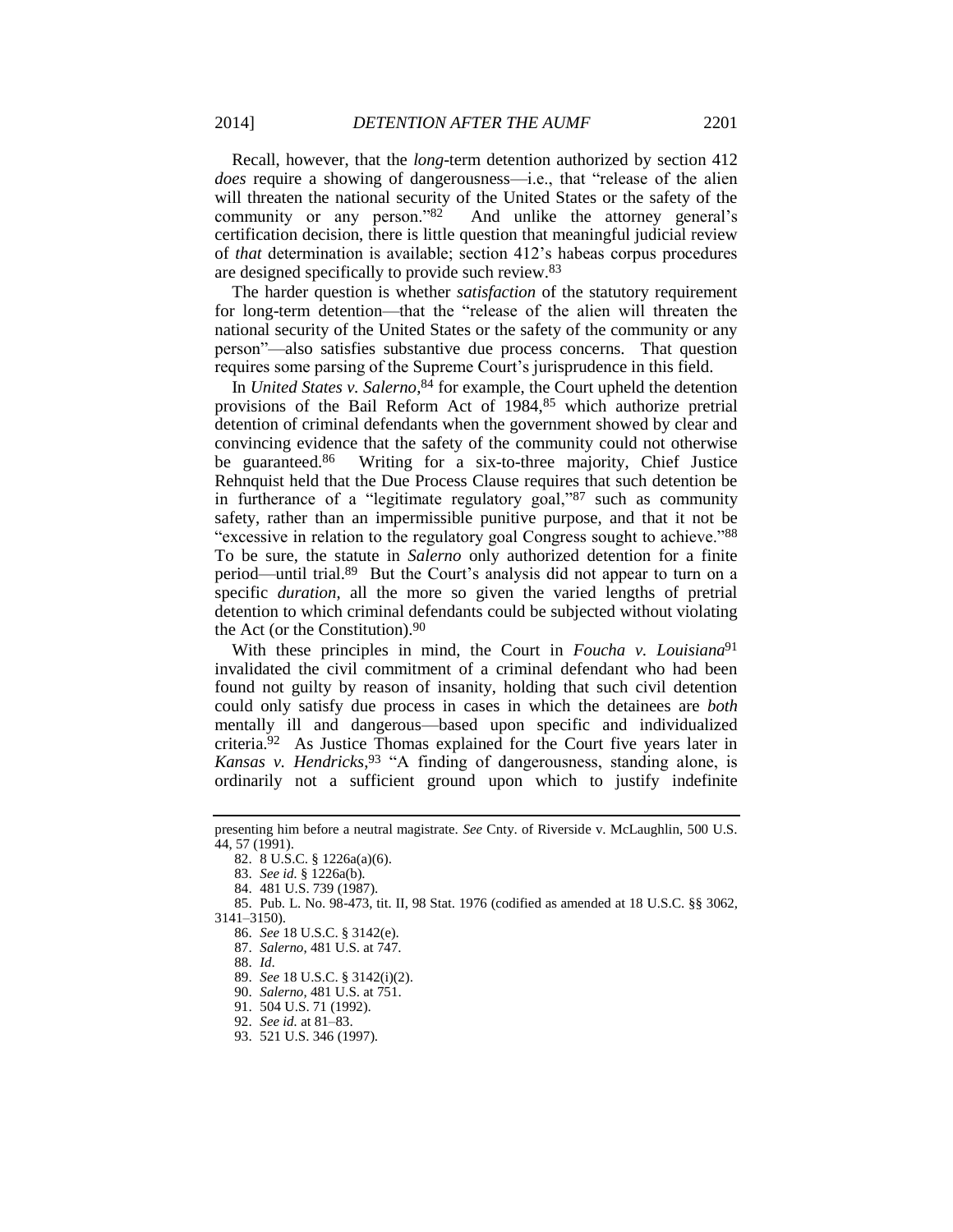Recall, however, that the *long*-term detention authorized by section 412 *does* require a showing of dangerousness—i.e., that "release of the alien will threaten the national security of the United States or the safety of the community or any person."82 And unlike the attorney general's certification decision, there is little question that meaningful judicial review of *that* determination is available; section 412's habeas corpus procedures are designed specifically to provide such review.<sup>83</sup>

The harder question is whether *satisfaction* of the statutory requirement for long-term detention—that the "release of the alien will threaten the national security of the United States or the safety of the community or any person"—also satisfies substantive due process concerns. That question requires some parsing of the Supreme Court's jurisprudence in this field.

In *United States v. Salerno*, <sup>84</sup> for example, the Court upheld the detention provisions of the Bail Reform Act of 1984,<sup>85</sup> which authorize pretrial detention of criminal defendants when the government showed by clear and convincing evidence that the safety of the community could not otherwise be guaranteed.<sup>86</sup> Writing for a six-to-three majority, Chief Justice Rehnquist held that the Due Process Clause requires that such detention be in furtherance of a "legitimate regulatory goal,"<sup>87</sup> such as community safety, rather than an impermissible punitive purpose, and that it not be "excessive in relation to the regulatory goal Congress sought to achieve."<sup>88</sup> To be sure, the statute in *Salerno* only authorized detention for a finite period—until trial.<sup>89</sup> But the Court's analysis did not appear to turn on a specific *duration*, all the more so given the varied lengths of pretrial detention to which criminal defendants could be subjected without violating the Act (or the Constitution).<sup>90</sup>

With these principles in mind, the Court in *Foucha v. Louisiana*<sup>91</sup> invalidated the civil commitment of a criminal defendant who had been found not guilty by reason of insanity, holding that such civil detention could only satisfy due process in cases in which the detainees are *both* mentally ill and dangerous—based upon specific and individualized criteria.92 As Justice Thomas explained for the Court five years later in *Kansas v. Hendricks*, <sup>93</sup> "A finding of dangerousness, standing alone, is ordinarily not a sufficient ground upon which to justify indefinite

presenting him before a neutral magistrate. *See* Cnty. of Riverside v. McLaughlin, 500 U.S. 44, 57 (1991).

<sup>82.</sup> 8 U.S.C. § 1226a(a)(6).

<sup>83.</sup> *See id.* § 1226a(b).

<sup>84.</sup> 481 U.S. 739 (1987).

<sup>85.</sup> Pub. L. No. 98-473, tit. II, 98 Stat. 1976 (codified as amended at 18 U.S.C. §§ 3062, 3141–3150).

<sup>86.</sup> *See* 18 U.S.C. § 3142(e).

<sup>87.</sup> *Salerno*, 481 U.S. at 747.

<sup>88.</sup> *Id*.

<sup>89.</sup> *See* 18 U.S.C. § 3142(i)(2).

<sup>90.</sup> *Salerno*, 481 U.S. at 751.

<sup>91.</sup> 504 U.S. 71 (1992).

<sup>92.</sup> *See id.* at 81–83.

<sup>93.</sup> 521 U.S. 346 (1997).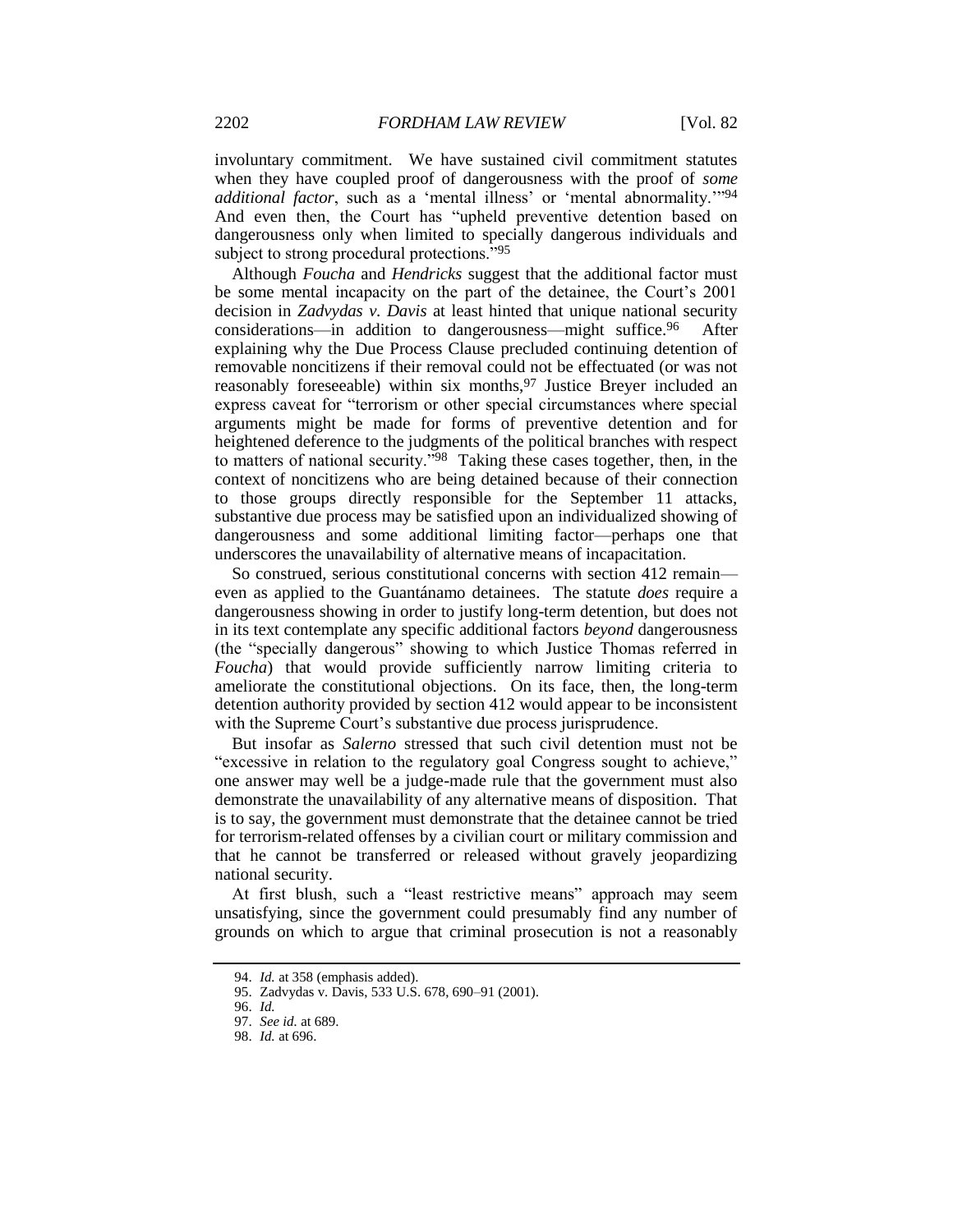involuntary commitment. We have sustained civil commitment statutes when they have coupled proof of dangerousness with the proof of *some additional factor*, such as a 'mental illness' or 'mental abnormality.'"<sup>94</sup> And even then, the Court has "upheld preventive detention based on dangerousness only when limited to specially dangerous individuals and subject to strong procedural protections."<sup>95</sup>

Although *Foucha* and *Hendricks* suggest that the additional factor must be some mental incapacity on the part of the detainee, the Court's 2001 decision in *Zadvydas v. Davis* at least hinted that unique national security considerations—in addition to dangerousness—might suffice.<sup>96</sup> After explaining why the Due Process Clause precluded continuing detention of removable noncitizens if their removal could not be effectuated (or was not reasonably foreseeable) within six months,<sup>97</sup> Justice Breyer included an express caveat for "terrorism or other special circumstances where special arguments might be made for forms of preventive detention and for heightened deference to the judgments of the political branches with respect to matters of national security."98 Taking these cases together, then, in the context of noncitizens who are being detained because of their connection to those groups directly responsible for the September 11 attacks, substantive due process may be satisfied upon an individualized showing of dangerousness and some additional limiting factor—perhaps one that underscores the unavailability of alternative means of incapacitation.

So construed, serious constitutional concerns with section 412 remain even as applied to the Guantánamo detainees. The statute *does* require a dangerousness showing in order to justify long-term detention, but does not in its text contemplate any specific additional factors *beyond* dangerousness (the "specially dangerous" showing to which Justice Thomas referred in *Foucha*) that would provide sufficiently narrow limiting criteria to ameliorate the constitutional objections. On its face, then, the long-term detention authority provided by section 412 would appear to be inconsistent with the Supreme Court's substantive due process jurisprudence.

But insofar as *Salerno* stressed that such civil detention must not be "excessive in relation to the regulatory goal Congress sought to achieve," one answer may well be a judge-made rule that the government must also demonstrate the unavailability of any alternative means of disposition. That is to say, the government must demonstrate that the detainee cannot be tried for terrorism-related offenses by a civilian court or military commission and that he cannot be transferred or released without gravely jeopardizing national security.

At first blush, such a "least restrictive means" approach may seem unsatisfying, since the government could presumably find any number of grounds on which to argue that criminal prosecution is not a reasonably

<sup>94.</sup> *Id.* at 358 (emphasis added).

<sup>95.</sup> Zadvydas v. Davis, 533 U.S. 678, 690–91 (2001).

<sup>96.</sup> *Id.*

<sup>97.</sup> *See id.* at 689.

<sup>98.</sup> *Id.* at 696.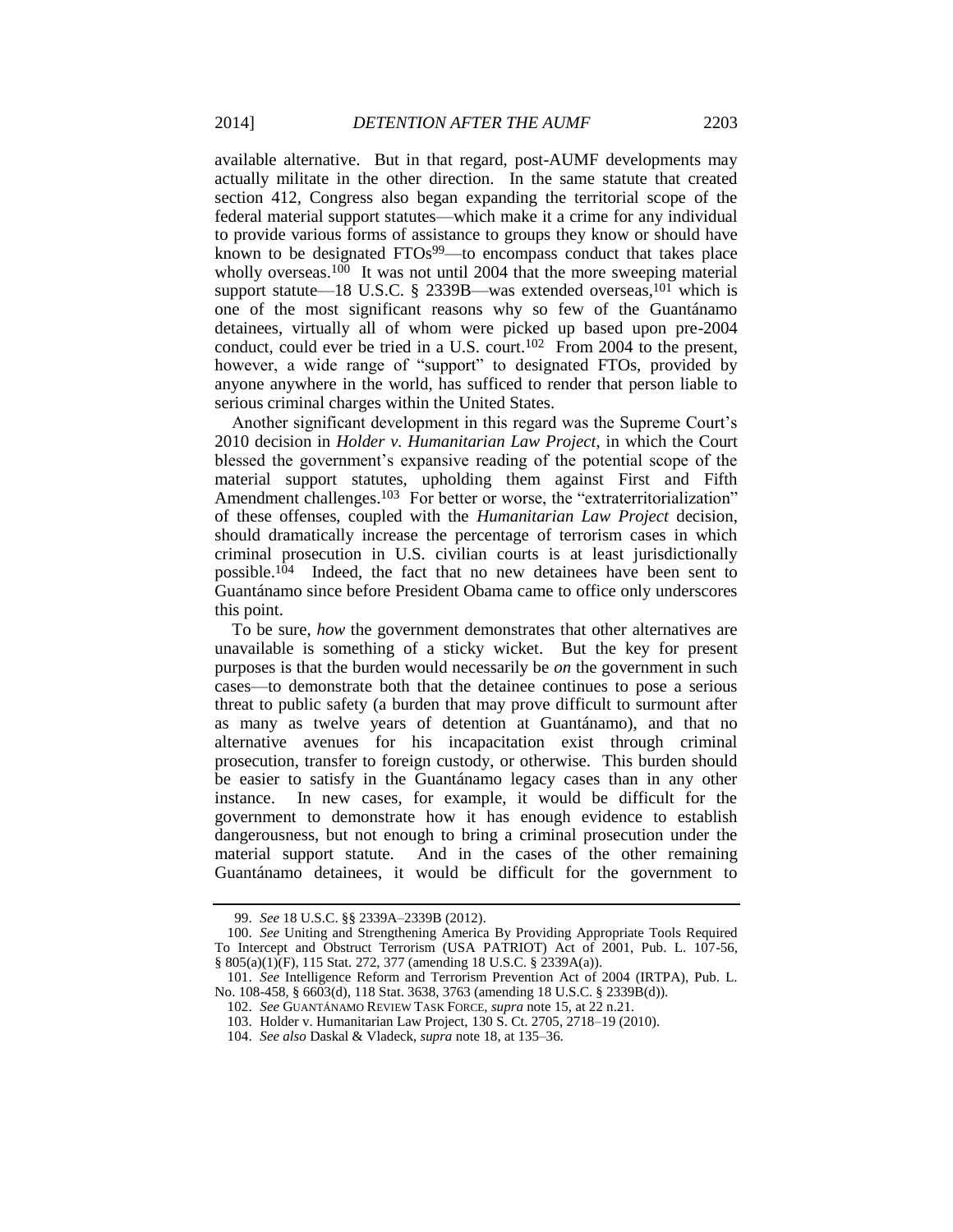available alternative. But in that regard, post-AUMF developments may actually militate in the other direction. In the same statute that created section 412, Congress also began expanding the territorial scope of the federal material support statutes—which make it a crime for any individual to provide various forms of assistance to groups they know or should have known to be designated FTOs<sup>99</sup>—to encompass conduct that takes place wholly overseas.<sup>100</sup> It was not until 2004 that the more sweeping material support statute—18 U.S.C. § 2339B—was extended overseas,  $^{101}$  which is one of the most significant reasons why so few of the Guantánamo detainees, virtually all of whom were picked up based upon pre-2004 conduct, could ever be tried in a U.S. court.<sup>102</sup> From 2004 to the present, however, a wide range of "support" to designated FTOs, provided by anyone anywhere in the world, has sufficed to render that person liable to serious criminal charges within the United States.

Another significant development in this regard was the Supreme Court's 2010 decision in *Holder v. Humanitarian Law Project*, in which the Court blessed the government's expansive reading of the potential scope of the material support statutes, upholding them against First and Fifth Amendment challenges.<sup>103</sup> For better or worse, the "extraterritorialization" of these offenses, coupled with the *Humanitarian Law Project* decision, should dramatically increase the percentage of terrorism cases in which criminal prosecution in U.S. civilian courts is at least jurisdictionally possible.104 Indeed, the fact that no new detainees have been sent to Guantánamo since before President Obama came to office only underscores this point.

To be sure, *how* the government demonstrates that other alternatives are unavailable is something of a sticky wicket. But the key for present purposes is that the burden would necessarily be *on* the government in such cases—to demonstrate both that the detainee continues to pose a serious threat to public safety (a burden that may prove difficult to surmount after as many as twelve years of detention at Guantánamo), and that no alternative avenues for his incapacitation exist through criminal prosecution, transfer to foreign custody, or otherwise. This burden should be easier to satisfy in the Guantánamo legacy cases than in any other instance. In new cases, for example, it would be difficult for the government to demonstrate how it has enough evidence to establish dangerousness, but not enough to bring a criminal prosecution under the material support statute. And in the cases of the other remaining Guantánamo detainees, it would be difficult for the government to

<sup>99.</sup> *See* 18 U.S.C. §§ 2339A–2339B (2012).

<sup>100.</sup> *See* Uniting and Strengthening America By Providing Appropriate Tools Required To Intercept and Obstruct Terrorism (USA PATRIOT) Act of 2001, Pub. L. 107-56, § 805(a)(1)(F), 115 Stat. 272, 377 (amending 18 U.S.C. § 2339A(a)).

<sup>101.</sup> *See* Intelligence Reform and Terrorism Prevention Act of 2004 (IRTPA), Pub. L. No. 108-458, § 6603(d), 118 Stat. 3638, 3763 (amending 18 U.S.C. § 2339B(d)).

<sup>102.</sup> *See* GUANTÁNAMO REVIEW TASK FORCE, *supra* not[e 15,](#page-1-0) at 22 n.21.

<sup>103.</sup> Holder v. Humanitarian Law Project, 130 S. Ct. 2705, 2718–19 (2010).

<sup>104.</sup> *See also* Daskal & Vladeck, *supra* not[e 18,](#page-2-0) at 135–36.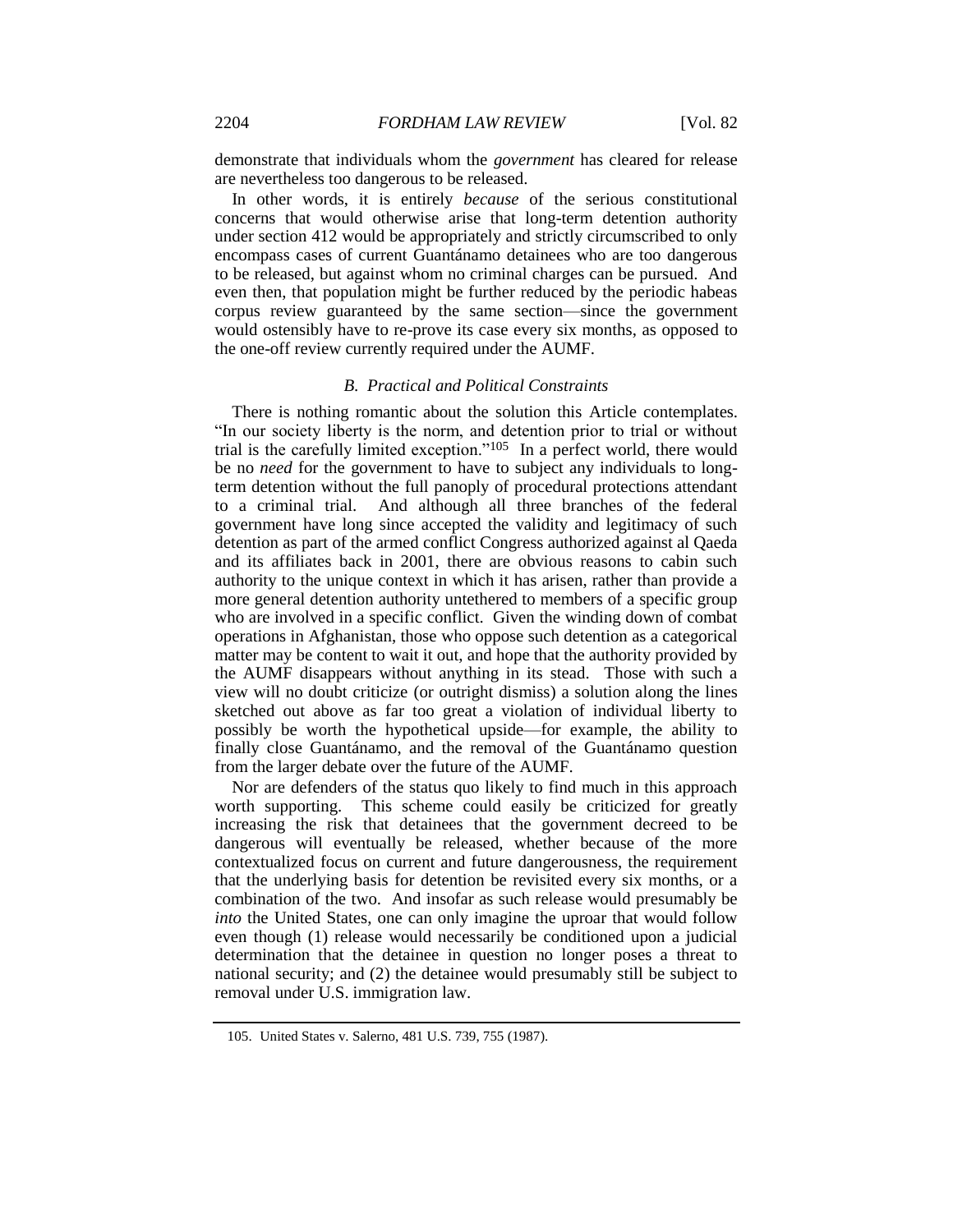demonstrate that individuals whom the *government* has cleared for release are nevertheless too dangerous to be released.

In other words, it is entirely *because* of the serious constitutional concerns that would otherwise arise that long-term detention authority under section 412 would be appropriately and strictly circumscribed to only encompass cases of current Guantánamo detainees who are too dangerous to be released, but against whom no criminal charges can be pursued. And even then, that population might be further reduced by the periodic habeas corpus review guaranteed by the same section—since the government would ostensibly have to re-prove its case every six months, as opposed to the one-off review currently required under the AUMF.

# *B. Practical and Political Constraints*

There is nothing romantic about the solution this Article contemplates. "In our society liberty is the norm, and detention prior to trial or without trial is the carefully limited exception."105 In a perfect world, there would be no *need* for the government to have to subject any individuals to longterm detention without the full panoply of procedural protections attendant to a criminal trial. And although all three branches of the federal government have long since accepted the validity and legitimacy of such detention as part of the armed conflict Congress authorized against al Qaeda and its affiliates back in 2001, there are obvious reasons to cabin such authority to the unique context in which it has arisen, rather than provide a more general detention authority untethered to members of a specific group who are involved in a specific conflict. Given the winding down of combat operations in Afghanistan, those who oppose such detention as a categorical matter may be content to wait it out, and hope that the authority provided by the AUMF disappears without anything in its stead. Those with such a view will no doubt criticize (or outright dismiss) a solution along the lines sketched out above as far too great a violation of individual liberty to possibly be worth the hypothetical upside—for example, the ability to finally close Guantánamo, and the removal of the Guantánamo question from the larger debate over the future of the AUMF.

Nor are defenders of the status quo likely to find much in this approach worth supporting. This scheme could easily be criticized for greatly increasing the risk that detainees that the government decreed to be dangerous will eventually be released, whether because of the more contextualized focus on current and future dangerousness, the requirement that the underlying basis for detention be revisited every six months, or a combination of the two. And insofar as such release would presumably be *into* the United States, one can only imagine the uproar that would follow even though (1) release would necessarily be conditioned upon a judicial determination that the detainee in question no longer poses a threat to national security; and (2) the detainee would presumably still be subject to removal under U.S. immigration law.

<sup>105.</sup> United States v. Salerno, 481 U.S. 739, 755 (1987).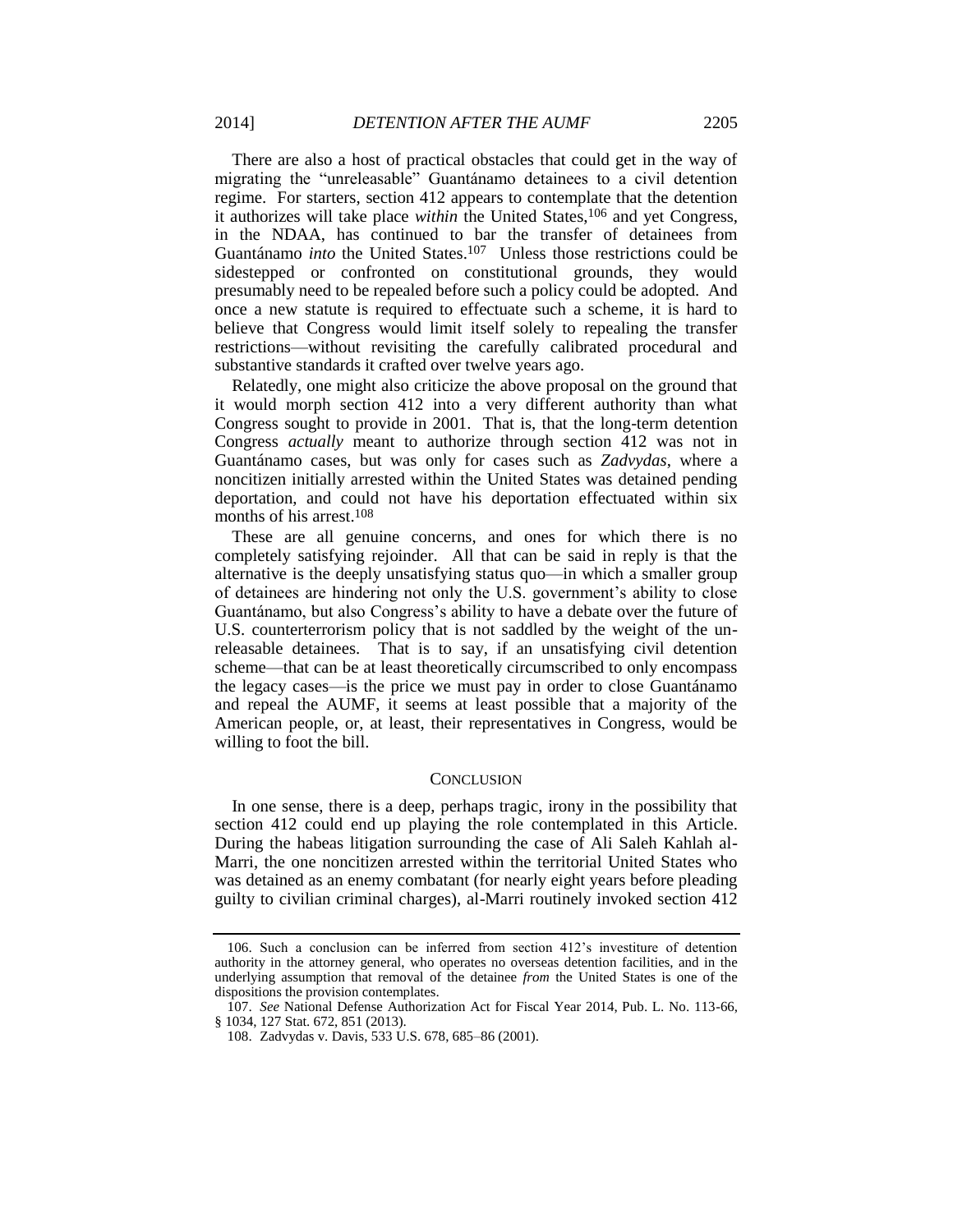There are also a host of practical obstacles that could get in the way of migrating the "unreleasable" Guantánamo detainees to a civil detention regime. For starters, section 412 appears to contemplate that the detention it authorizes will take place *within* the United States,<sup>106</sup> and yet Congress, in the NDAA, has continued to bar the transfer of detainees from Guantánamo *into* the United States.107 Unless those restrictions could be sidestepped or confronted on constitutional grounds, they would presumably need to be repealed before such a policy could be adopted. And once a new statute is required to effectuate such a scheme, it is hard to believe that Congress would limit itself solely to repealing the transfer restrictions—without revisiting the carefully calibrated procedural and substantive standards it crafted over twelve years ago.

Relatedly, one might also criticize the above proposal on the ground that it would morph section 412 into a very different authority than what Congress sought to provide in 2001. That is, that the long-term detention Congress *actually* meant to authorize through section 412 was not in Guantánamo cases, but was only for cases such as *Zadvydas*, where a noncitizen initially arrested within the United States was detained pending deportation, and could not have his deportation effectuated within six months of his arrest.<sup>108</sup>

These are all genuine concerns, and ones for which there is no completely satisfying rejoinder. All that can be said in reply is that the alternative is the deeply unsatisfying status quo—in which a smaller group of detainees are hindering not only the U.S. government's ability to close Guantánamo, but also Congress's ability to have a debate over the future of U.S. counterterrorism policy that is not saddled by the weight of the unreleasable detainees. That is to say, if an unsatisfying civil detention scheme—that can be at least theoretically circumscribed to only encompass the legacy cases—is the price we must pay in order to close Guantánamo and repeal the AUMF, it seems at least possible that a majority of the American people, or, at least, their representatives in Congress, would be willing to foot the bill.

### **CONCLUSION**

In one sense, there is a deep, perhaps tragic, irony in the possibility that section 412 could end up playing the role contemplated in this Article. During the habeas litigation surrounding the case of Ali Saleh Kahlah al-Marri, the one noncitizen arrested within the territorial United States who was detained as an enemy combatant (for nearly eight years before pleading guilty to civilian criminal charges), al-Marri routinely invoked section 412

<sup>106.</sup> Such a conclusion can be inferred from section 412's investiture of detention authority in the attorney general, who operates no overseas detention facilities, and in the underlying assumption that removal of the detainee *from* the United States is one of the dispositions the provision contemplates.

<sup>107.</sup> *See* National Defense Authorization Act for Fiscal Year 2014, Pub. L. No. 113-66, § 1034, 127 Stat. 672, 851 (2013).

<sup>108.</sup> Zadvydas v. Davis, 533 U.S. 678, 685–86 (2001).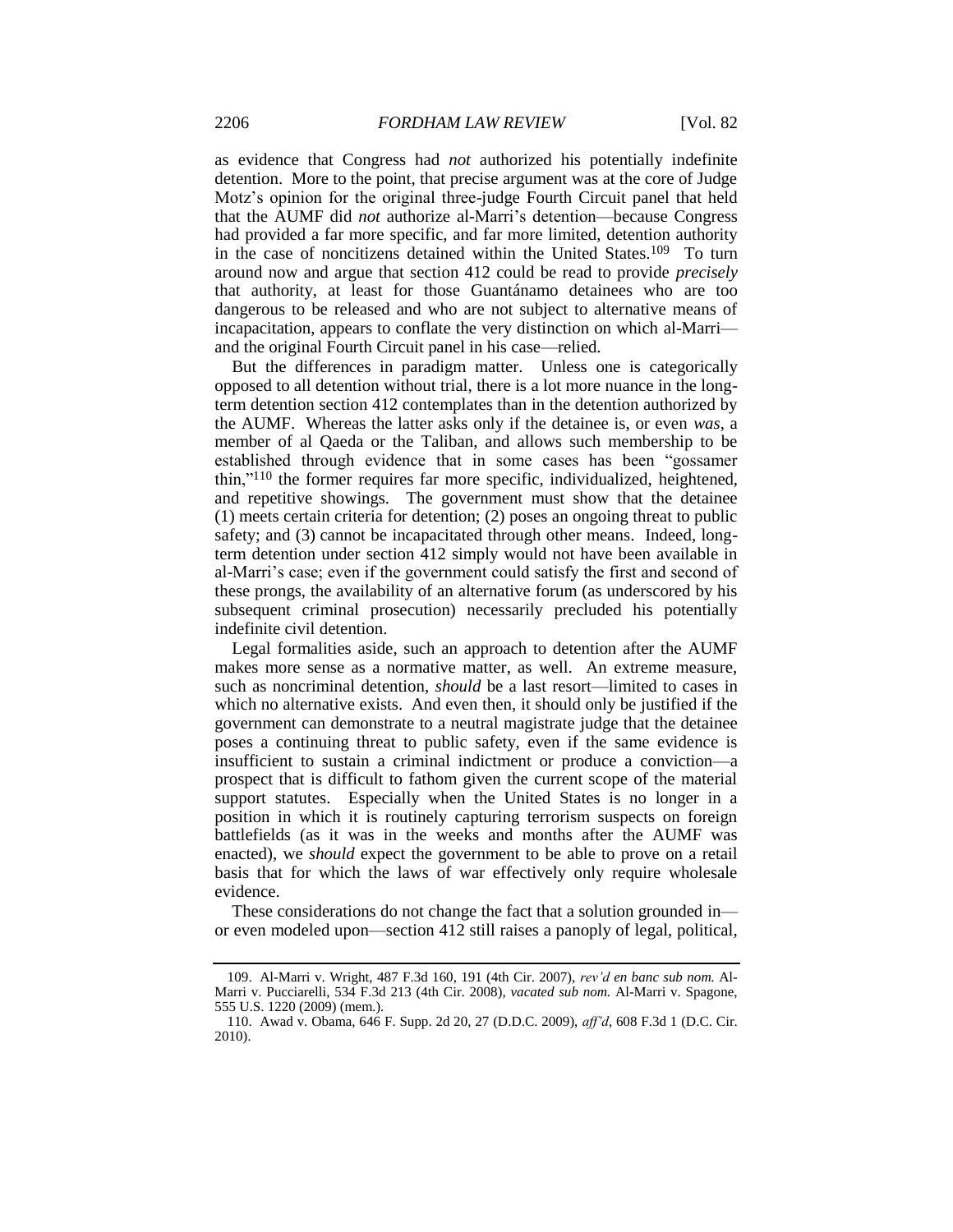as evidence that Congress had *not* authorized his potentially indefinite detention. More to the point, that precise argument was at the core of Judge Motz's opinion for the original three-judge Fourth Circuit panel that held that the AUMF did *not* authorize al-Marri's detention—because Congress had provided a far more specific, and far more limited, detention authority in the case of noncitizens detained within the United States.109 To turn around now and argue that section 412 could be read to provide *precisely* that authority, at least for those Guantánamo detainees who are too dangerous to be released and who are not subject to alternative means of incapacitation, appears to conflate the very distinction on which al-Marri and the original Fourth Circuit panel in his case—relied.

But the differences in paradigm matter. Unless one is categorically opposed to all detention without trial, there is a lot more nuance in the longterm detention section 412 contemplates than in the detention authorized by the AUMF. Whereas the latter asks only if the detainee is, or even *was*, a member of al Qaeda or the Taliban, and allows such membership to be established through evidence that in some cases has been "gossamer thin,"<sup>110</sup> the former requires far more specific, individualized, heightened, and repetitive showings. The government must show that the detainee (1) meets certain criteria for detention; (2) poses an ongoing threat to public safety; and (3) cannot be incapacitated through other means. Indeed, longterm detention under section 412 simply would not have been available in al-Marri's case; even if the government could satisfy the first and second of these prongs, the availability of an alternative forum (as underscored by his subsequent criminal prosecution) necessarily precluded his potentially indefinite civil detention.

Legal formalities aside, such an approach to detention after the AUMF makes more sense as a normative matter, as well. An extreme measure, such as noncriminal detention, *should* be a last resort—limited to cases in which no alternative exists. And even then, it should only be justified if the government can demonstrate to a neutral magistrate judge that the detainee poses a continuing threat to public safety, even if the same evidence is insufficient to sustain a criminal indictment or produce a conviction—a prospect that is difficult to fathom given the current scope of the material support statutes. Especially when the United States is no longer in a position in which it is routinely capturing terrorism suspects on foreign battlefields (as it was in the weeks and months after the AUMF was enacted), we *should* expect the government to be able to prove on a retail basis that for which the laws of war effectively only require wholesale evidence.

These considerations do not change the fact that a solution grounded in or even modeled upon—section 412 still raises a panoply of legal, political,

<sup>109.</sup> Al-Marri v. Wright, 487 F.3d 160, 191 (4th Cir. 2007), *rev'd en banc sub nom.* Al-Marri v. Pucciarelli, 534 F.3d 213 (4th Cir. 2008), *vacated sub nom.* Al-Marri v. Spagone, 555 U.S. 1220 (2009) (mem.).

<sup>110.</sup> Awad v. Obama, 646 F. Supp. 2d 20, 27 (D.D.C. 2009), *aff'd*, 608 F.3d 1 (D.C. Cir. 2010).